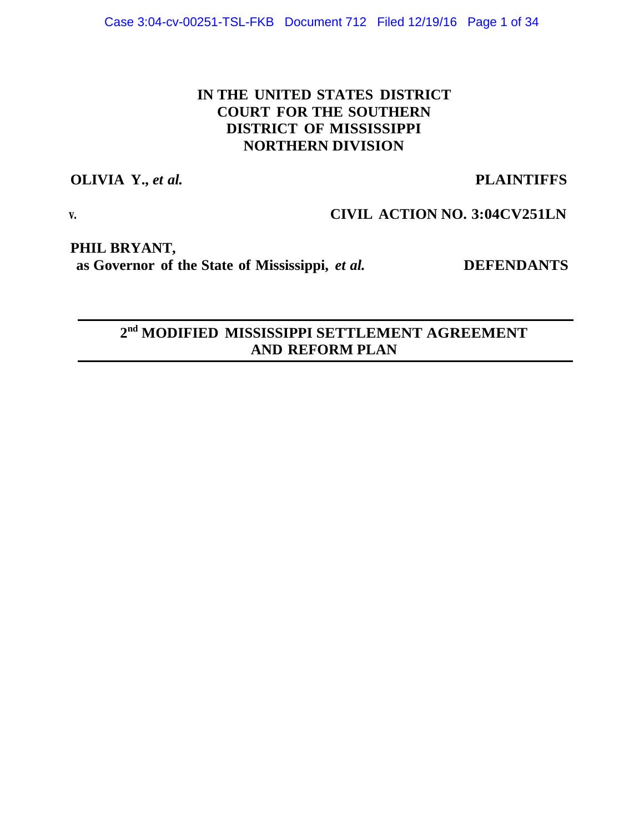# **IN THE UNITED STATES DISTRICT COURT FOR THE SOUTHERN DISTRICT OF MISSISSIPPI NORTHERN DIVISION**

# **OLIVIA Y.,** *et al.* **PLAINTIFFS**

# **v. CIVIL ACTION NO. 3:04CV251LN**

**PHIL BRYANT, as Governor of the State of Mississippi,** *et al.* **DEFENDANTS**

**2nd MODIFIED MISSISSIPPI SETTLEMENT AGREEMENT AND REFORM PLAN**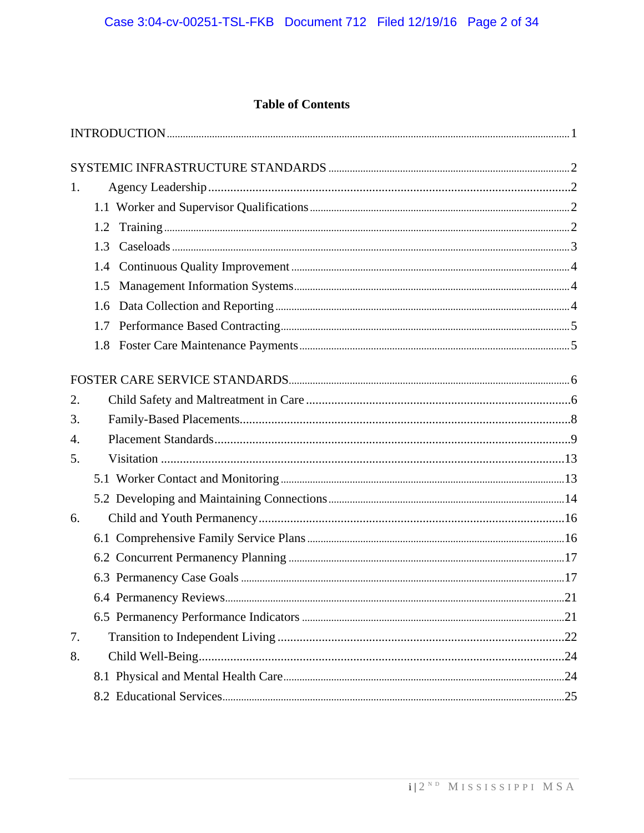# **Table of Contents**

| 1. |     |  |
|----|-----|--|
|    |     |  |
|    | 1.2 |  |
|    | 1.3 |  |
|    |     |  |
|    | 1.5 |  |
|    | 1.6 |  |
|    |     |  |
|    |     |  |
|    |     |  |
| 2. |     |  |
| 3. |     |  |
| 4. |     |  |
| 5. |     |  |
|    |     |  |
|    |     |  |
| 6. |     |  |
|    |     |  |
|    |     |  |
|    |     |  |
|    |     |  |
|    |     |  |
| 7. |     |  |
| 8. |     |  |
|    |     |  |
|    |     |  |
|    |     |  |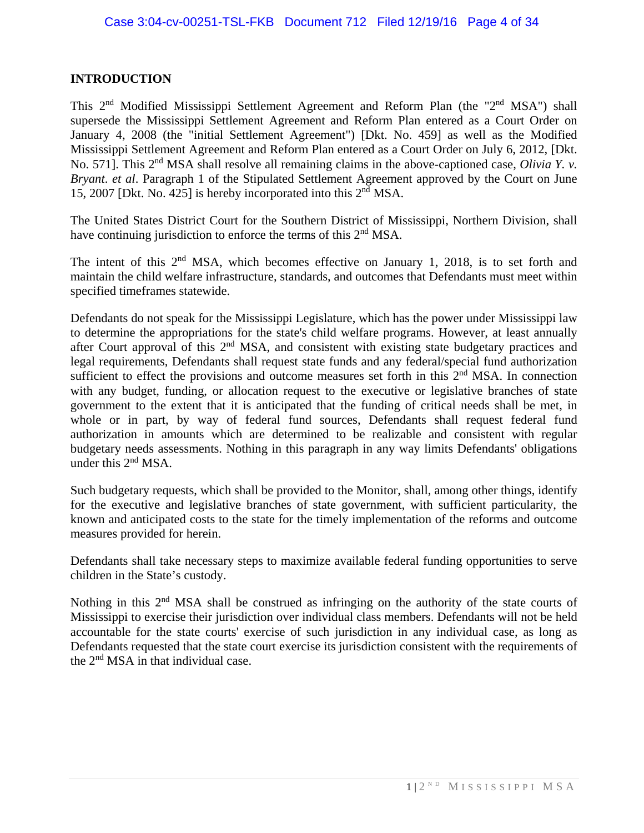#### **INTRODUCTION**

This 2<sup>nd</sup> Modified Mississippi Settlement Agreement and Reform Plan (the "2<sup>nd</sup> MSA") shall supersede the Mississippi Settlement Agreement and Reform Plan entered as a Court Order on January 4, 2008 (the "initial Settlement Agreement") [Dkt. No. 459] as well as the Modified Mississippi Settlement Agreement and Reform Plan entered as a Court Order on July 6, 2012, [Dkt. No. 571]. This 2<sup>nd</sup> MSA shall resolve all remaining claims in the above-captioned case, *Olivia Y. v. Bryant*. *et al*. Paragraph 1 of the Stipulated Settlement Agreement approved by the Court on June 15, 2007 [Dkt. No. 425] is hereby incorporated into this  $2<sup>nd</sup> MSA$ .

The United States District Court for the Southern District of Mississippi, Northern Division, shall have continuing jurisdiction to enforce the terms of this  $2<sup>nd</sup> MSA$ .

The intent of this 2<sup>nd</sup> MSA, which becomes effective on January 1, 2018, is to set forth and maintain the child welfare infrastructure, standards, and outcomes that Defendants must meet within specified timeframes statewide.

Defendants do not speak for the Mississippi Legislature, which has the power under Mississippi law to determine the appropriations for the state's child welfare programs. However, at least annually after Court approval of this 2<sup>nd</sup> MSA, and consistent with existing state budgetary practices and legal requirements, Defendants shall request state funds and any federal/special fund authorization sufficient to effect the provisions and outcome measures set forth in this  $2<sup>nd</sup> MSA$ . In connection with any budget, funding, or allocation request to the executive or legislative branches of state government to the extent that it is anticipated that the funding of critical needs shall be met, in whole or in part, by way of federal fund sources, Defendants shall request federal fund authorization in amounts which are determined to be realizable and consistent with regular budgetary needs assessments. Nothing in this paragraph in any way limits Defendants' obligations under this  $2<sup>nd</sup> MSA$ .

Such budgetary requests, which shall be provided to the Monitor, shall, among other things, identify for the executive and legislative branches of state government, with sufficient particularity, the known and anticipated costs to the state for the timely implementation of the reforms and outcome measures provided for herein.

Defendants shall take necessary steps to maximize available federal funding opportunities to serve children in the State's custody.

Nothing in this 2<sup>nd</sup> MSA shall be construed as infringing on the authority of the state courts of Mississippi to exercise their jurisdiction over individual class members. Defendants will not be held accountable for the state courts' exercise of such jurisdiction in any individual case, as long as Defendants requested that the state court exercise its jurisdiction consistent with the requirements of the  $2<sup>nd</sup> MSA$  in that individual case.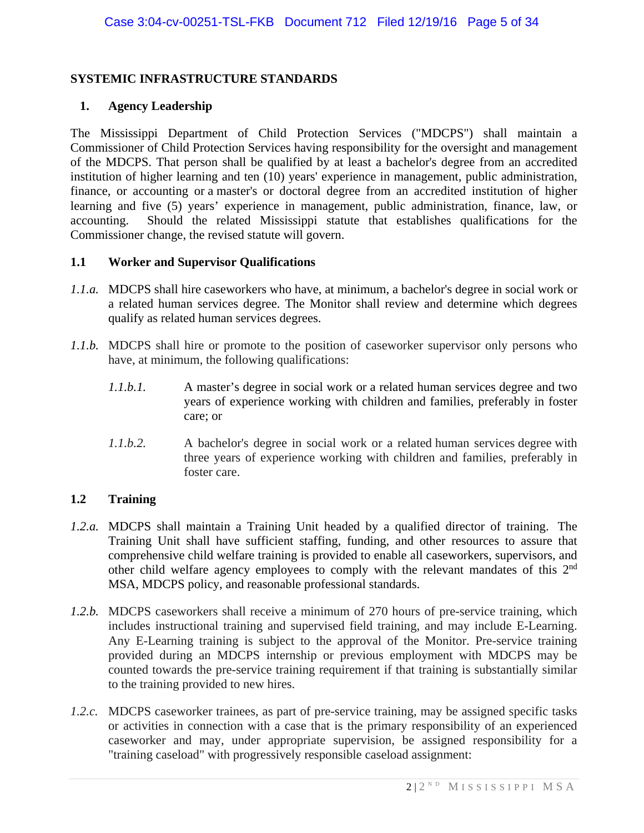#### **SYSTEMIC INFRASTRUCTURE STANDARDS**

#### **1. Agency Leadership**

The Mississippi Department of Child Protection Services ("MDCPS") shall maintain a Commissioner of Child Protection Services having responsibility for the oversight and management of the MDCPS. That person shall be qualified by at least a bachelor's degree from an accredited institution of higher learning and ten (10) years' experience in management, public administration, finance, or accounting or a master's or doctoral degree from an accredited institution of higher learning and five (5) years' experience in management, public administration, finance, law, or accounting. Should the related Mississippi statute that establishes qualifications for the Commissioner change, the revised statute will govern.

#### **1.1 Worker and Supervisor Qualifications**

- *1.1.a.* MDCPS shall hire caseworkers who have, at minimum, a bachelor's degree in social work or a related human services degree. The Monitor shall review and determine which degrees qualify as related human services degrees.
- *1.1.b.* MDCPS shall hire or promote to the position of caseworker supervisor only persons who have, at minimum, the following qualifications:
	- *1.1.b.1.* A master's degree in social work or a related human services degree and two years of experience working with children and families, preferably in foster care; or
	- *1.1.b.2.* A bachelor's degree in social work or a related human services degree with three years of experience working with children and families, preferably in foster care.

#### **1.2 Training**

- *1.2.a.* MDCPS shall maintain a Training Unit headed by a qualified director of training. The Training Unit shall have sufficient staffing, funding, and other resources to assure that comprehensive child welfare training is provided to enable all caseworkers, supervisors, and other child welfare agency employees to comply with the relevant mandates of this 2<sup>nd</sup> MSA, MDCPS policy, and reasonable professional standards.
- *1.2.b.* MDCPS caseworkers shall receive a minimum of 270 hours of pre-service training, which includes instructional training and supervised field training, and may include E-Learning. Any E-Learning training is subject to the approval of the Monitor. Pre-service training provided during an MDCPS internship or previous employment with MDCPS may be counted towards the pre-service training requirement if that training is substantially similar to the training provided to new hires.
- *1.2.c.* MDCPS caseworker trainees, as part of pre-service training, may be assigned specific tasks or activities in connection with a case that is the primary responsibility of an experienced caseworker and may, under appropriate supervision, be assigned responsibility for a "training caseload" with progressively responsible caseload assignment: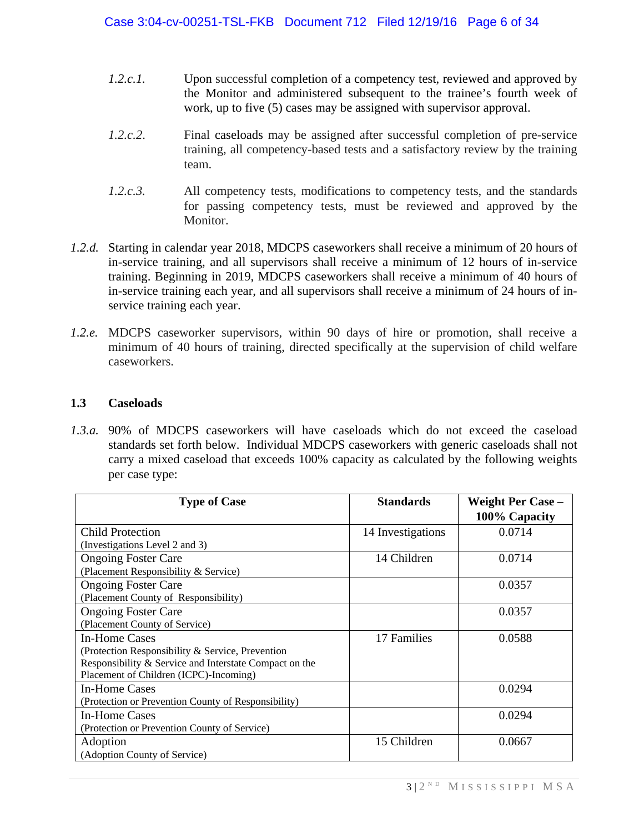- *1.2.c.1.* Upon successful completion of a competency test, reviewed and approved by the Monitor and administered subsequent to the trainee's fourth week of work, up to five (5) cases may be assigned with supervisor approval.
- *1.2.c.2*. Final caseloads may be assigned after successful completion of pre-service training, all competency-based tests and a satisfactory review by the training team.
- *1.2.c.3.* All competency tests, modifications to competency tests, and the standards for passing competency tests, must be reviewed and approved by the Monitor.
- *1.2.d.* Starting in calendar year 2018, MDCPS caseworkers shall receive a minimum of 20 hours of in-service training, and all supervisors shall receive a minimum of 12 hours of in-service training. Beginning in 2019, MDCPS caseworkers shall receive a minimum of 40 hours of in-service training each year, and all supervisors shall receive a minimum of 24 hours of inservice training each year.
- *1.2.e.* MDCPS caseworker supervisors, within 90 days of hire or promotion, shall receive a minimum of 40 hours of training, directed specifically at the supervision of child welfare caseworkers.

#### **1.3 Caseloads**

*1.3.a.* 90% of MDCPS caseworkers will have caseloads which do not exceed the caseload standards set forth below. Individual MDCPS caseworkers with generic caseloads shall not carry a mixed caseload that exceeds 100% capacity as calculated by the following weights per case type:

| <b>Type of Case</b>                                    | <b>Standards</b>  | <b>Weight Per Case -</b> |
|--------------------------------------------------------|-------------------|--------------------------|
|                                                        |                   | 100% Capacity            |
| <b>Child Protection</b>                                | 14 Investigations | 0.0714                   |
| (Investigations Level 2 and 3)                         |                   |                          |
| <b>Ongoing Foster Care</b>                             | 14 Children       | 0.0714                   |
| (Placement Responsibility & Service)                   |                   |                          |
| <b>Ongoing Foster Care</b>                             |                   | 0.0357                   |
| (Placement County of Responsibility)                   |                   |                          |
| <b>Ongoing Foster Care</b>                             |                   | 0.0357                   |
| (Placement County of Service)                          |                   |                          |
| In-Home Cases                                          | 17 Families       | 0.0588                   |
| (Protection Responsibility & Service, Prevention       |                   |                          |
| Responsibility & Service and Interstate Compact on the |                   |                          |
| Placement of Children (ICPC)-Incoming)                 |                   |                          |
| <b>In-Home Cases</b>                                   |                   | 0.0294                   |
| (Protection or Prevention County of Responsibility)    |                   |                          |
| In-Home Cases                                          |                   | 0.0294                   |
| (Protection or Prevention County of Service)           |                   |                          |
| Adoption                                               | 15 Children       | 0.0667                   |
| (Adoption County of Service)                           |                   |                          |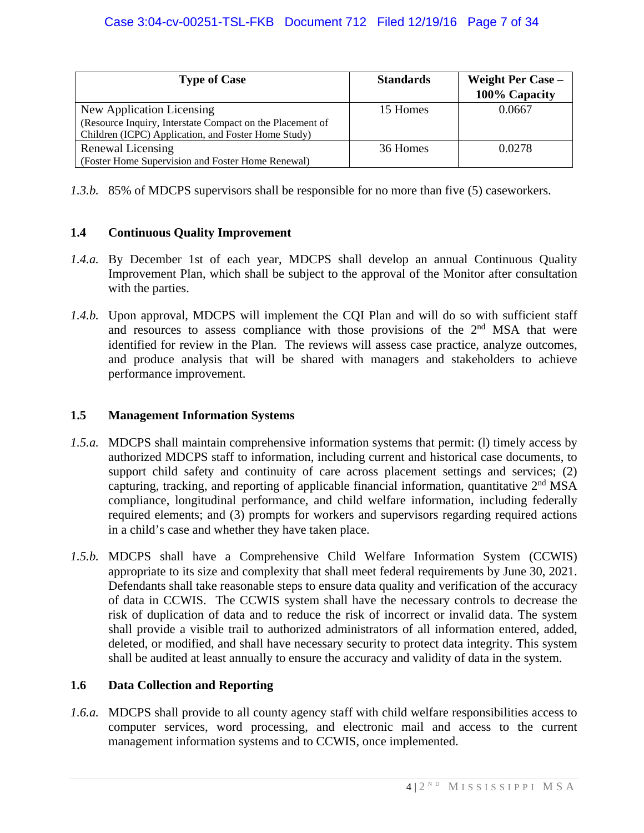| <b>Type of Case</b>                                       | <b>Standards</b> | <b>Weight Per Case –</b><br>100% Capacity |
|-----------------------------------------------------------|------------------|-------------------------------------------|
| New Application Licensing                                 | 15 Homes         | 0.0667                                    |
| (Resource Inquiry, Interstate Compact on the Placement of |                  |                                           |
| Children (ICPC) Application, and Foster Home Study)       |                  |                                           |
| Renewal Licensing                                         | 36 Homes         | 0.0278                                    |
| (Foster Home Supervision and Foster Home Renewal)         |                  |                                           |

*1.3.b.* 85% of MDCPS supervisors shall be responsible for no more than five (5) caseworkers.

## **1.4 Continuous Quality Improvement**

- *1.4.a.* By December 1st of each year, MDCPS shall develop an annual Continuous Quality Improvement Plan, which shall be subject to the approval of the Monitor after consultation with the parties.
- *1.4.b.* Upon approval, MDCPS will implement the CQI Plan and will do so with sufficient staff and resources to assess compliance with those provisions of the  $2<sup>nd</sup> MSA$  that were identified for review in the Plan. The reviews will assess case practice, analyze outcomes, and produce analysis that will be shared with managers and stakeholders to achieve performance improvement.

## **1.5 Management Information Systems**

- *1.5.a.* MDCPS shall maintain comprehensive information systems that permit: (l) timely access by authorized MDCPS staff to information, including current and historical case documents, to support child safety and continuity of care across placement settings and services; (2) capturing, tracking, and reporting of applicable financial information, quantitative  $2<sup>nd</sup> MSA$ compliance, longitudinal performance, and child welfare information, including federally required elements; and (3) prompts for workers and supervisors regarding required actions in a child's case and whether they have taken place.
- *1.5.b.* MDCPS shall have a Comprehensive Child Welfare Information System (CCWIS) appropriate to its size and complexity that shall meet federal requirements by June 30, 2021. Defendants shall take reasonable steps to ensure data quality and verification of the accuracy of data in CCWIS. The CCWIS system shall have the necessary controls to decrease the risk of duplication of data and to reduce the risk of incorrect or invalid data. The system shall provide a visible trail to authorized administrators of all information entered, added, deleted, or modified, and shall have necessary security to protect data integrity. This system shall be audited at least annually to ensure the accuracy and validity of data in the system.

# **1.6 Data Collection and Reporting**

*1.6.a.* MDCPS shall provide to all county agency staff with child welfare responsibilities access to computer services, word processing, and electronic mail and access to the current management information systems and to CCWIS, once implemented.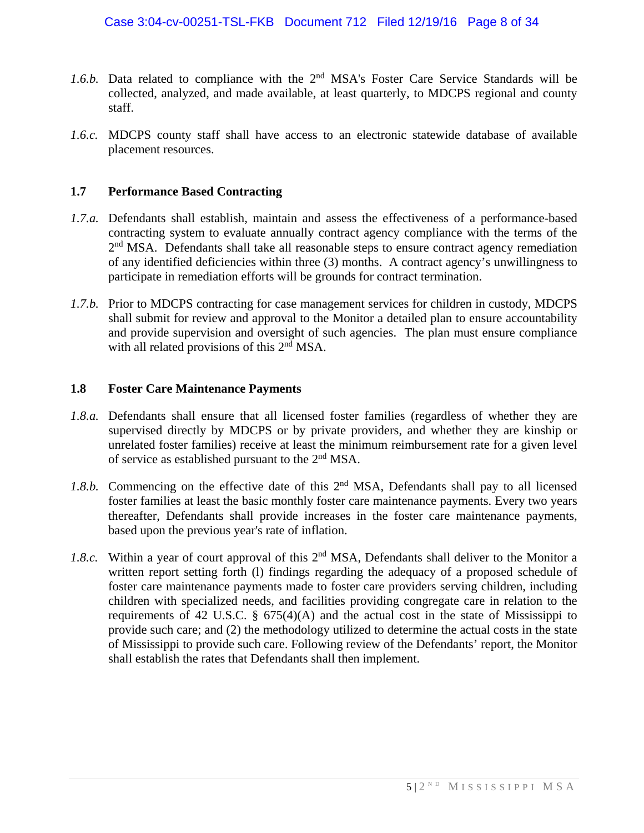- 1.6.b. Data related to compliance with the 2<sup>nd</sup> MSA's Foster Care Service Standards will be collected, analyzed, and made available, at least quarterly, to MDCPS regional and county staff.
- *1.6.c.* MDCPS county staff shall have access to an electronic statewide database of available placement resources.

#### **1.7 Performance Based Contracting**

- *1.7.a.* Defendants shall establish, maintain and assess the effectiveness of a performance-based contracting system to evaluate annually contract agency compliance with the terms of the  $2<sup>nd</sup> MSA$ . Defendants shall take all reasonable steps to ensure contract agency remediation of any identified deficiencies within three (3) months. A contract agency's unwillingness to participate in remediation efforts will be grounds for contract termination.
- *1.7.b.* Prior to MDCPS contracting for case management services for children in custody, MDCPS shall submit for review and approval to the Monitor a detailed plan to ensure accountability and provide supervision and oversight of such agencies. The plan must ensure compliance with all related provisions of this  $2<sup>nd</sup> MSA$ .

#### **1.8 Foster Care Maintenance Payments**

- *1.8.a.* Defendants shall ensure that all licensed foster families (regardless of whether they are supervised directly by MDCPS or by private providers, and whether they are kinship or unrelated foster families) receive at least the minimum reimbursement rate for a given level of service as established pursuant to the 2nd MSA.
- 1.8.b. Commencing on the effective date of this 2<sup>nd</sup> MSA, Defendants shall pay to all licensed foster families at least the basic monthly foster care maintenance payments. Every two years thereafter, Defendants shall provide increases in the foster care maintenance payments, based upon the previous year's rate of inflation.
- *1.8.c.* Within a year of court approval of this 2<sup>nd</sup> MSA, Defendants shall deliver to the Monitor a written report setting forth (l) findings regarding the adequacy of a proposed schedule of foster care maintenance payments made to foster care providers serving children, including children with specialized needs, and facilities providing congregate care in relation to the requirements of 42 U.S.C.  $\S$  675(4)(A) and the actual cost in the state of Mississippi to provide such care; and (2) the methodology utilized to determine the actual costs in the state of Mississippi to provide such care. Following review of the Defendants' report, the Monitor shall establish the rates that Defendants shall then implement.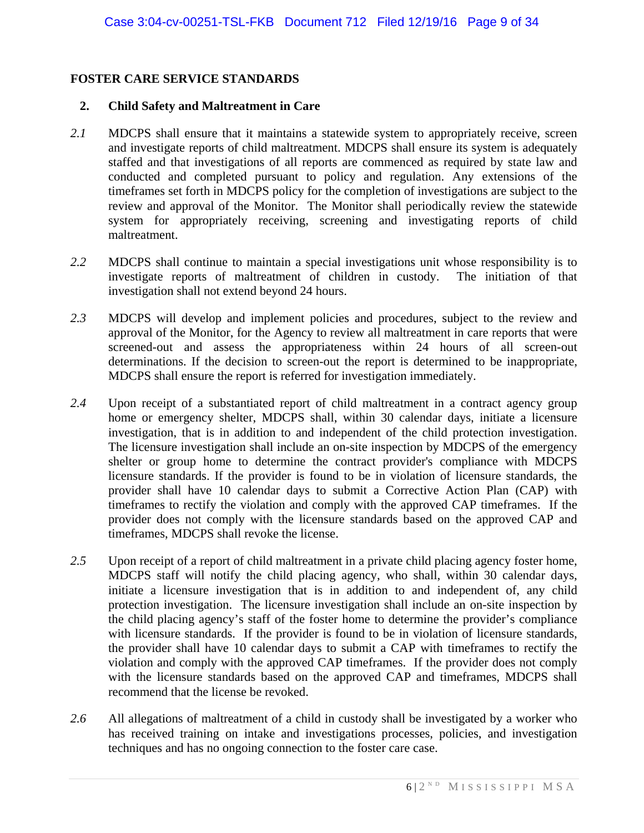#### **FOSTER CARE SERVICE STANDARDS**

#### **2. Child Safety and Maltreatment in Care**

- *2.1* MDCPS shall ensure that it maintains a statewide system to appropriately receive, screen and investigate reports of child maltreatment. MDCPS shall ensure its system is adequately staffed and that investigations of all reports are commenced as required by state law and conducted and completed pursuant to policy and regulation. Any extensions of the timeframes set forth in MDCPS policy for the completion of investigations are subject to the review and approval of the Monitor. The Monitor shall periodically review the statewide system for appropriately receiving, screening and investigating reports of child maltreatment.
- *2.2* MDCPS shall continue to maintain a special investigations unit whose responsibility is to investigate reports of maltreatment of children in custody. The initiation of that investigation shall not extend beyond 24 hours.
- *2.3* MDCPS will develop and implement policies and procedures, subject to the review and approval of the Monitor, for the Agency to review all maltreatment in care reports that were screened-out and assess the appropriateness within 24 hours of all screen-out determinations. If the decision to screen-out the report is determined to be inappropriate, MDCPS shall ensure the report is referred for investigation immediately.
- *2.4* Upon receipt of a substantiated report of child maltreatment in a contract agency group home or emergency shelter, MDCPS shall, within 30 calendar days, initiate a licensure investigation, that is in addition to and independent of the child protection investigation. The licensure investigation shall include an on-site inspection by MDCPS of the emergency shelter or group home to determine the contract provider's compliance with MDCPS licensure standards. If the provider is found to be in violation of licensure standards, the provider shall have 10 calendar days to submit a Corrective Action Plan (CAP) with timeframes to rectify the violation and comply with the approved CAP timeframes. If the provider does not comply with the licensure standards based on the approved CAP and timeframes, MDCPS shall revoke the license.
- *2.5* Upon receipt of a report of child maltreatment in a private child placing agency foster home, MDCPS staff will notify the child placing agency, who shall, within 30 calendar days, initiate a licensure investigation that is in addition to and independent of, any child protection investigation. The licensure investigation shall include an on-site inspection by the child placing agency's staff of the foster home to determine the provider's compliance with licensure standards. If the provider is found to be in violation of licensure standards, the provider shall have 10 calendar days to submit a CAP with timeframes to rectify the violation and comply with the approved CAP timeframes. If the provider does not comply with the licensure standards based on the approved CAP and timeframes, MDCPS shall recommend that the license be revoked.
- *2.6* All allegations of maltreatment of a child in custody shall be investigated by a worker who has received training on intake and investigations processes, policies, and investigation techniques and has no ongoing connection to the foster care case.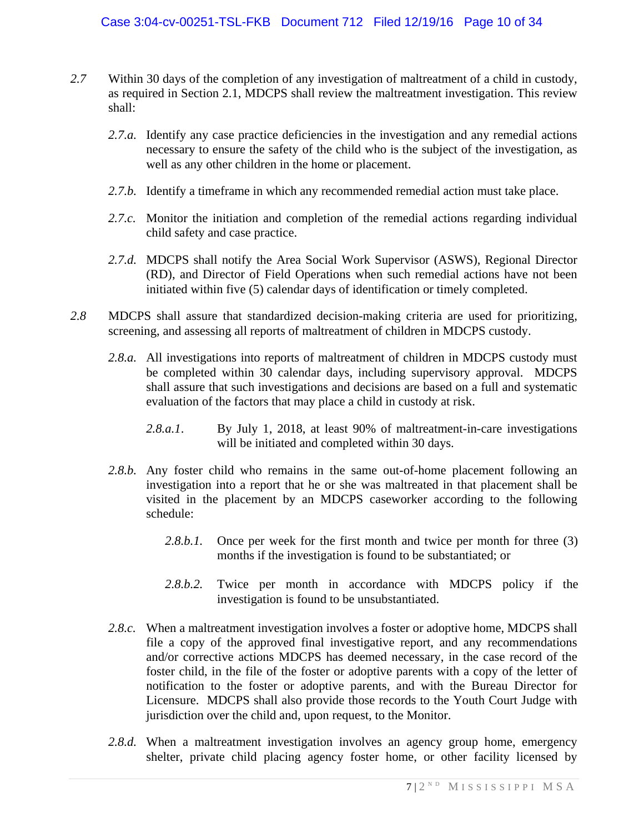- *2.7* Within 30 days of the completion of any investigation of maltreatment of a child in custody, as required in Section 2.1, MDCPS shall review the maltreatment investigation. This review shall:
	- 2.7.*a.* Identify any case practice deficiencies in the investigation and any remedial actions necessary to ensure the safety of the child who is the subject of the investigation, as well as any other children in the home or placement.
	- 2.7.b. Identify a timeframe in which any recommended remedial action must take place.
	- *2.7.c.* Monitor the initiation and completion of the remedial actions regarding individual child safety and case practice.
	- *2.7.d.* MDCPS shall notify the Area Social Work Supervisor (ASWS), Regional Director (RD), and Director of Field Operations when such remedial actions have not been initiated within five (5) calendar days of identification or timely completed.
- *2.8* MDCPS shall assure that standardized decision-making criteria are used for prioritizing, screening, and assessing all reports of maltreatment of children in MDCPS custody.
	- 2.8.*a.* All investigations into reports of maltreatment of children in MDCPS custody must be completed within 30 calendar days, including supervisory approval. MDCPS shall assure that such investigations and decisions are based on a full and systematic evaluation of the factors that may place a child in custody at risk.
		- *2.8.a.1*. By July 1, 2018, at least 90% of maltreatment-in-care investigations will be initiated and completed within 30 days.
	- *2.8.b.* Any foster child who remains in the same out-of-home placement following an investigation into a report that he or she was maltreated in that placement shall be visited in the placement by an MDCPS caseworker according to the following schedule:
		- 2.8.b.1. Once per week for the first month and twice per month for three (3) months if the investigation is found to be substantiated; or
		- *2.8.b.2.* Twice per month in accordance with MDCPS policy if the investigation is found to be unsubstantiated.
	- 2.8.c. When a maltreatment investigation involves a foster or adoptive home, MDCPS shall file a copy of the approved final investigative report, and any recommendations and/or corrective actions MDCPS has deemed necessary, in the case record of the foster child, in the file of the foster or adoptive parents with a copy of the letter of notification to the foster or adoptive parents, and with the Bureau Director for Licensure. MDCPS shall also provide those records to the Youth Court Judge with jurisdiction over the child and, upon request, to the Monitor.
	- *2.8.d.* When a maltreatment investigation involves an agency group home, emergency shelter, private child placing agency foster home, or other facility licensed by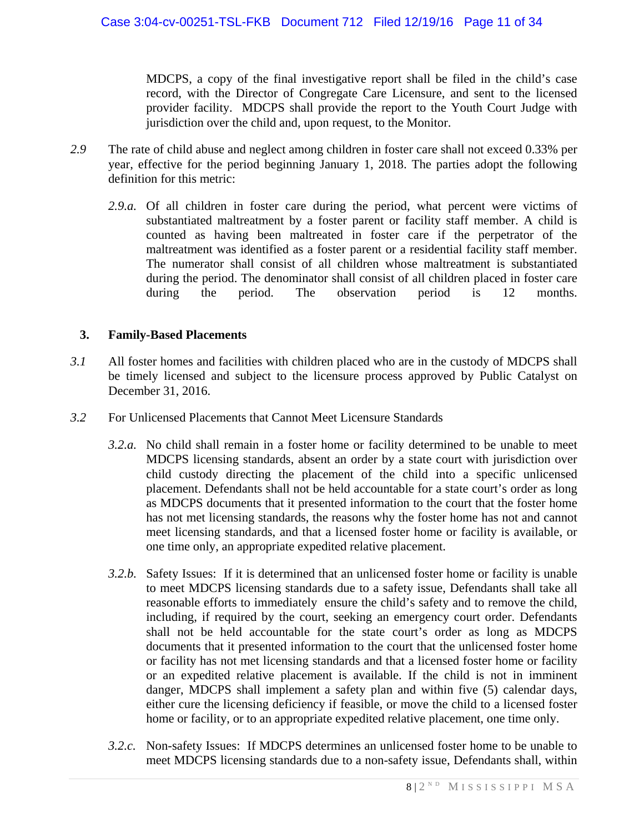MDCPS, a copy of the final investigative report shall be filed in the child's case record, with the Director of Congregate Care Licensure, and sent to the licensed provider facility. MDCPS shall provide the report to the Youth Court Judge with jurisdiction over the child and, upon request, to the Monitor.

- *2.9* The rate of child abuse and neglect among children in foster care shall not exceed 0.33% per year, effective for the period beginning January 1, 2018. The parties adopt the following definition for this metric:
	- *2.9.a.* Of all children in foster care during the period, what percent were victims of substantiated maltreatment by a foster parent or facility staff member. A child is counted as having been maltreated in foster care if the perpetrator of the maltreatment was identified as a foster parent or a residential facility staff member. The numerator shall consist of all children whose maltreatment is substantiated during the period. The denominator shall consist of all children placed in foster care during the period. The observation period is 12 months.

## **3. Family-Based Placements**

- *3.1* All foster homes and facilities with children placed who are in the custody of MDCPS shall be timely licensed and subject to the licensure process approved by Public Catalyst on December 31, 2016.
- *3.2* For Unlicensed Placements that Cannot Meet Licensure Standards
	- *3.2.a.* No child shall remain in a foster home or facility determined to be unable to meet MDCPS licensing standards, absent an order by a state court with jurisdiction over child custody directing the placement of the child into a specific unlicensed placement. Defendants shall not be held accountable for a state court's order as long as MDCPS documents that it presented information to the court that the foster home has not met licensing standards, the reasons why the foster home has not and cannot meet licensing standards, and that a licensed foster home or facility is available, or one time only, an appropriate expedited relative placement.
	- *3.2.b.* Safety Issues: If it is determined that an unlicensed foster home or facility is unable to meet MDCPS licensing standards due to a safety issue, Defendants shall take all reasonable efforts to immediately ensure the child's safety and to remove the child, including, if required by the court, seeking an emergency court order. Defendants shall not be held accountable for the state court's order as long as MDCPS documents that it presented information to the court that the unlicensed foster home or facility has not met licensing standards and that a licensed foster home or facility or an expedited relative placement is available. If the child is not in imminent danger, MDCPS shall implement a safety plan and within five (5) calendar days, either cure the licensing deficiency if feasible, or move the child to a licensed foster home or facility, or to an appropriate expedited relative placement, one time only.
	- *3.2.c.* Non-safety Issues: If MDCPS determines an unlicensed foster home to be unable to meet MDCPS licensing standards due to a non-safety issue, Defendants shall, within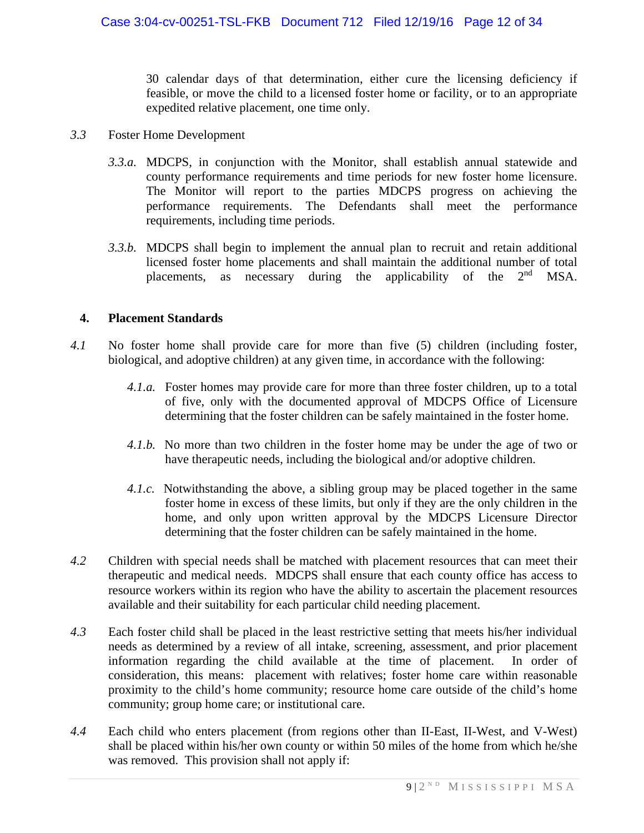30 calendar days of that determination, either cure the licensing deficiency if feasible, or move the child to a licensed foster home or facility, or to an appropriate expedited relative placement, one time only.

- *3.3* Foster Home Development
	- *3.3.a.* MDCPS, in conjunction with the Monitor, shall establish annual statewide and county performance requirements and time periods for new foster home licensure. The Monitor will report to the parties MDCPS progress on achieving the performance requirements. The Defendants shall meet the performance requirements, including time periods.
	- *3.3.b.* MDCPS shall begin to implement the annual plan to recruit and retain additional licensed foster home placements and shall maintain the additional number of total placements, as necessary during the applicability of the 2<sup>nd</sup> MSA.

#### **4. Placement Standards**

- *4.1* No foster home shall provide care for more than five (5) children (including foster, biological, and adoptive children) at any given time, in accordance with the following:
	- *4.1.a.* Foster homes may provide care for more than three foster children, up to a total of five, only with the documented approval of MDCPS Office of Licensure determining that the foster children can be safely maintained in the foster home.
	- *4.1.b.* No more than two children in the foster home may be under the age of two or have therapeutic needs, including the biological and/or adoptive children.
	- *4.1.c.* Notwithstanding the above, a sibling group may be placed together in the same foster home in excess of these limits, but only if they are the only children in the home, and only upon written approval by the MDCPS Licensure Director determining that the foster children can be safely maintained in the home.
- *4.2* Children with special needs shall be matched with placement resources that can meet their therapeutic and medical needs. MDCPS shall ensure that each county office has access to resource workers within its region who have the ability to ascertain the placement resources available and their suitability for each particular child needing placement.
- *4.3* Each foster child shall be placed in the least restrictive setting that meets his/her individual needs as determined by a review of all intake, screening, assessment, and prior placement information regarding the child available at the time of placement. In order of consideration, this means: placement with relatives; foster home care within reasonable proximity to the child's home community; resource home care outside of the child's home community; group home care; or institutional care.
- *4.4* Each child who enters placement (from regions other than II-East, II-West, and V-West) shall be placed within his/her own county or within 50 miles of the home from which he/she was removed. This provision shall not apply if: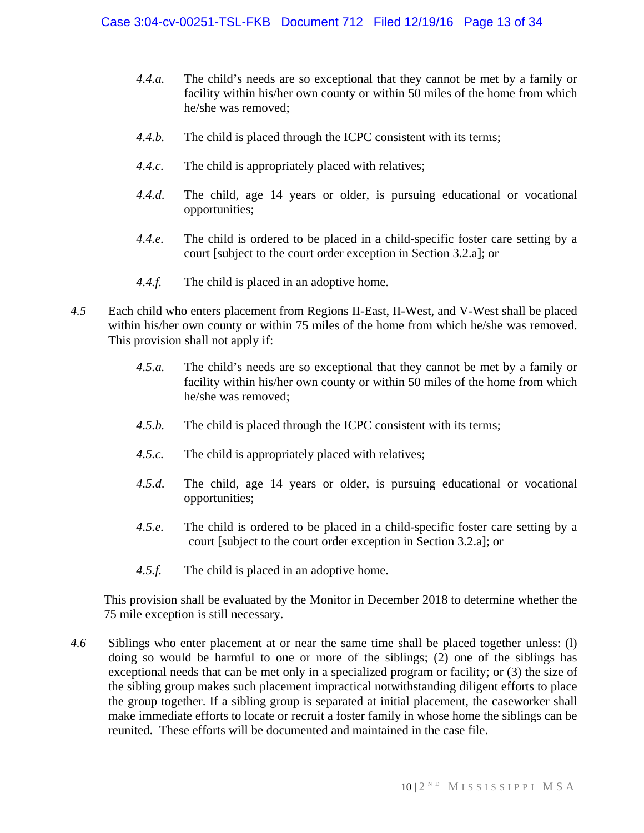- *4.4.a.* The child's needs are so exceptional that they cannot be met by a family or facility within his/her own county or within 50 miles of the home from which he/she was removed;
- *4.4.b.* The child is placed through the ICPC consistent with its terms;
- *4.4.c.* The child is appropriately placed with relatives;
- *4.4.d*. The child, age 14 years or older, is pursuing educational or vocational opportunities;
- *4.4.e.* The child is ordered to be placed in a child-specific foster care setting by a court [subject to the court order exception in Section 3.2.a]; or
- *4.4.f.* The child is placed in an adoptive home.
- *4.5* Each child who enters placement from Regions II-East, II-West, and V-West shall be placed within his/her own county or within 75 miles of the home from which he/she was removed. This provision shall not apply if:
	- *4.5.a.* The child's needs are so exceptional that they cannot be met by a family or facility within his/her own county or within 50 miles of the home from which he/she was removed;
	- *4.5.b.* The child is placed through the ICPC consistent with its terms;
	- *4.5.c.* The child is appropriately placed with relatives;
	- *4.5.d*. The child, age 14 years or older, is pursuing educational or vocational opportunities;
	- *4.5.e.* The child is ordered to be placed in a child-specific foster care setting by a court [subject to the court order exception in Section 3.2.a]; or
	- 4.5.f. The child is placed in an adoptive home.

This provision shall be evaluated by the Monitor in December 2018 to determine whether the 75 mile exception is still necessary.

*4.6* Siblings who enter placement at or near the same time shall be placed together unless: (l) doing so would be harmful to one or more of the siblings; (2) one of the siblings has exceptional needs that can be met only in a specialized program or facility; or (3) the size of the sibling group makes such placement impractical notwithstanding diligent efforts to place the group together. If a sibling group is separated at initial placement, the caseworker shall make immediate efforts to locate or recruit a foster family in whose home the siblings can be reunited. These efforts will be documented and maintained in the case file.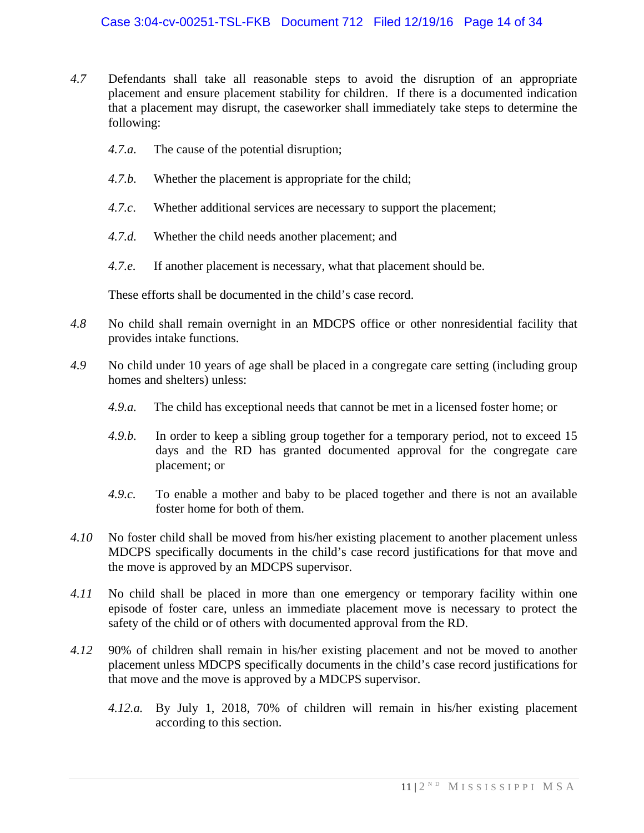- *4.7* Defendants shall take all reasonable steps to avoid the disruption of an appropriate placement and ensure placement stability for children. If there is a documented indication that a placement may disrupt, the caseworker shall immediately take steps to determine the following:
	- *4.7.a.* The cause of the potential disruption;
	- *4.7.b.* Whether the placement is appropriate for the child;
	- *4.7.c*. Whether additional services are necessary to support the placement;
	- *4.7.d.* Whether the child needs another placement; and
	- *4.7.e.* If another placement is necessary, what that placement should be.

These efforts shall be documented in the child's case record.

- *4.8* No child shall remain overnight in an MDCPS office or other nonresidential facility that provides intake functions.
- *4.9* No child under 10 years of age shall be placed in a congregate care setting (including group homes and shelters) unless:
	- *4.9.a.* The child has exceptional needs that cannot be met in a licensed foster home; or
	- *4.9.b.* In order to keep a sibling group together for a temporary period, not to exceed 15 days and the RD has granted documented approval for the congregate care placement; or
	- *4.9.c.* To enable a mother and baby to be placed together and there is not an available foster home for both of them.
- *4.10* No foster child shall be moved from his/her existing placement to another placement unless MDCPS specifically documents in the child's case record justifications for that move and the move is approved by an MDCPS supervisor.
- *4.11* No child shall be placed in more than one emergency or temporary facility within one episode of foster care, unless an immediate placement move is necessary to protect the safety of the child or of others with documented approval from the RD.
- *4.12* 90% of children shall remain in his/her existing placement and not be moved to another placement unless MDCPS specifically documents in the child's case record justifications for that move and the move is approved by a MDCPS supervisor.
	- *4.12.a.* By July 1, 2018, 70% of children will remain in his/her existing placement according to this section.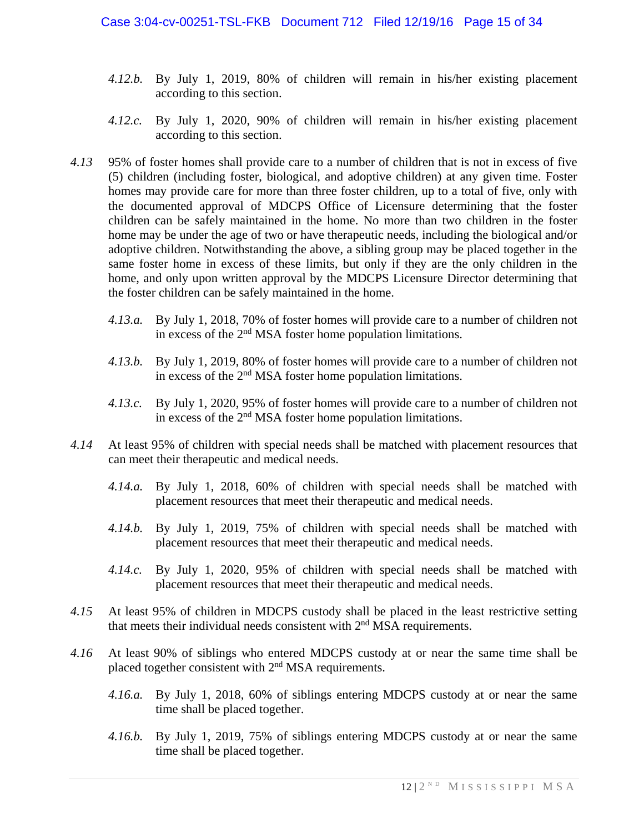- *4.12.b.* By July 1, 2019, 80% of children will remain in his/her existing placement according to this section.
- *4.12.c.* By July 1, 2020, 90% of children will remain in his/her existing placement according to this section.
- *4.13* 95% of foster homes shall provide care to a number of children that is not in excess of five (5) children (including foster, biological, and adoptive children) at any given time. Foster homes may provide care for more than three foster children, up to a total of five, only with the documented approval of MDCPS Office of Licensure determining that the foster children can be safely maintained in the home. No more than two children in the foster home may be under the age of two or have therapeutic needs, including the biological and/or adoptive children. Notwithstanding the above, a sibling group may be placed together in the same foster home in excess of these limits, but only if they are the only children in the home, and only upon written approval by the MDCPS Licensure Director determining that the foster children can be safely maintained in the home.
	- *4.13.a.* By July 1, 2018, 70% of foster homes will provide care to a number of children not in excess of the 2<sup>nd</sup> MSA foster home population limitations.
	- *4.13.b.* By July 1, 2019, 80% of foster homes will provide care to a number of children not in excess of the 2<sup>nd</sup> MSA foster home population limitations.
	- *4.13.c.* By July 1, 2020, 95% of foster homes will provide care to a number of children not in excess of the 2<sup>nd</sup> MSA foster home population limitations.
- *4.14* At least 95% of children with special needs shall be matched with placement resources that can meet their therapeutic and medical needs.
	- *4.14.a.* By July 1, 2018, 60% of children with special needs shall be matched with placement resources that meet their therapeutic and medical needs.
	- *4.14.b.* By July 1, 2019, 75% of children with special needs shall be matched with placement resources that meet their therapeutic and medical needs.
	- *4.14.c.* By July 1, 2020, 95% of children with special needs shall be matched with placement resources that meet their therapeutic and medical needs.
- *4.15* At least 95% of children in MDCPS custody shall be placed in the least restrictive setting that meets their individual needs consistent with  $2<sup>nd</sup> MSA$  requirements.
- *4.16* At least 90% of siblings who entered MDCPS custody at or near the same time shall be placed together consistent with 2<sup>nd</sup> MSA requirements.
	- *4.16.a.* By July 1, 2018, 60% of siblings entering MDCPS custody at or near the same time shall be placed together.
	- *4.16.b.* By July 1, 2019, 75% of siblings entering MDCPS custody at or near the same time shall be placed together.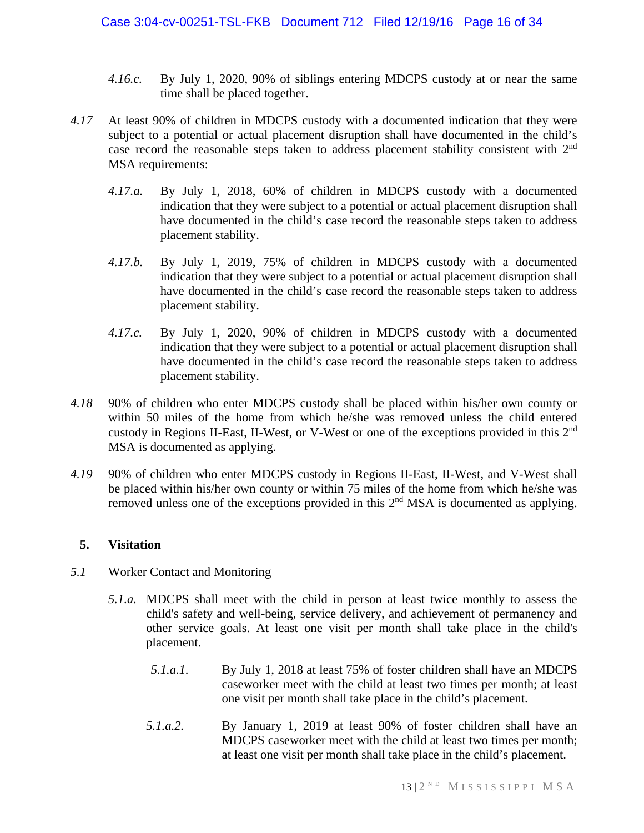- *4.16.c.* By July 1, 2020, 90% of siblings entering MDCPS custody at or near the same time shall be placed together.
- *4.17* At least 90% of children in MDCPS custody with a documented indication that they were subject to a potential or actual placement disruption shall have documented in the child's case record the reasonable steps taken to address placement stability consistent with 2nd MSA requirements:
	- *4.17.a.* By July 1, 2018, 60% of children in MDCPS custody with a documented indication that they were subject to a potential or actual placement disruption shall have documented in the child's case record the reasonable steps taken to address placement stability.
	- *4.17.b.* By July 1, 2019, 75% of children in MDCPS custody with a documented indication that they were subject to a potential or actual placement disruption shall have documented in the child's case record the reasonable steps taken to address placement stability.
	- *4.17.c.* By July 1, 2020, 90% of children in MDCPS custody with a documented indication that they were subject to a potential or actual placement disruption shall have documented in the child's case record the reasonable steps taken to address placement stability.
- *4.18* 90% of children who enter MDCPS custody shall be placed within his/her own county or within 50 miles of the home from which he/she was removed unless the child entered custody in Regions II-East, II-West, or V-West or one of the exceptions provided in this 2nd MSA is documented as applying.
- *4.19* 90% of children who enter MDCPS custody in Regions II-East, II-West, and V-West shall be placed within his/her own county or within 75 miles of the home from which he/she was removed unless one of the exceptions provided in this 2<sup>nd</sup> MSA is documented as applying.

#### **5. Visitation**

- *5.1* Worker Contact and Monitoring
	- *5.1.a.* MDCPS shall meet with the child in person at least twice monthly to assess the child's safety and well-being, service delivery, and achievement of permanency and other service goals. At least one visit per month shall take place in the child's placement.
		- *5.1.a.1.* By July 1, 2018 at least 75% of foster children shall have an MDCPS caseworker meet with the child at least two times per month; at least one visit per month shall take place in the child's placement.
		- *5.1.a.2.* By January 1, 2019 at least 90% of foster children shall have an MDCPS caseworker meet with the child at least two times per month; at least one visit per month shall take place in the child's placement.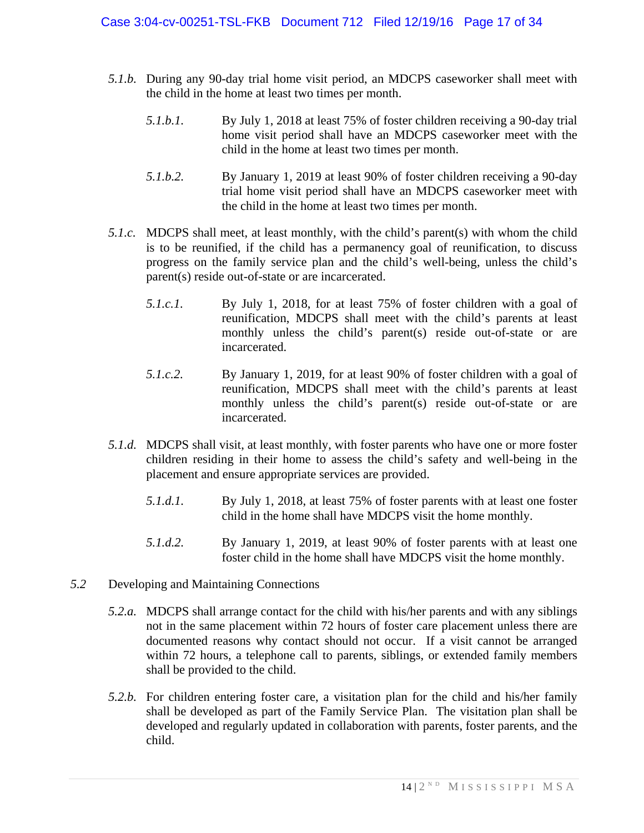- *5.1.b.* During any 90-day trial home visit period, an MDCPS caseworker shall meet with the child in the home at least two times per month.
	- *5.1.b.1.* By July 1, 2018 at least 75% of foster children receiving a 90-day trial home visit period shall have an MDCPS caseworker meet with the child in the home at least two times per month.
	- *5.1.b.2.* By January 1, 2019 at least 90% of foster children receiving a 90-day trial home visit period shall have an MDCPS caseworker meet with the child in the home at least two times per month.
- *5.1.c.* MDCPS shall meet, at least monthly, with the child's parent(s) with whom the child is to be reunified, if the child has a permanency goal of reunification, to discuss progress on the family service plan and the child's well-being, unless the child's parent(s) reside out-of-state or are incarcerated.
	- *5.1.c.1.* By July 1, 2018, for at least 75% of foster children with a goal of reunification, MDCPS shall meet with the child's parents at least monthly unless the child's parent(s) reside out-of-state or are incarcerated.
	- *5.1.c.2.* By January 1, 2019, for at least 90% of foster children with a goal of reunification, MDCPS shall meet with the child's parents at least monthly unless the child's parent(s) reside out-of-state or are incarcerated.
- *5.1.d.* MDCPS shall visit, at least monthly, with foster parents who have one or more foster children residing in their home to assess the child's safety and well-being in the placement and ensure appropriate services are provided.
	- *5.1.d.1.* By July 1, 2018, at least 75% of foster parents with at least one foster child in the home shall have MDCPS visit the home monthly.
	- *5.1.d.2.* By January 1, 2019, at least 90% of foster parents with at least one foster child in the home shall have MDCPS visit the home monthly.
- *5.2* Developing and Maintaining Connections
	- *5.2.a.* MDCPS shall arrange contact for the child with his/her parents and with any siblings not in the same placement within 72 hours of foster care placement unless there are documented reasons why contact should not occur. If a visit cannot be arranged within 72 hours, a telephone call to parents, siblings, or extended family members shall be provided to the child.
	- *5.2.b.* For children entering foster care, a visitation plan for the child and his/her family shall be developed as part of the Family Service Plan. The visitation plan shall be developed and regularly updated in collaboration with parents, foster parents, and the child.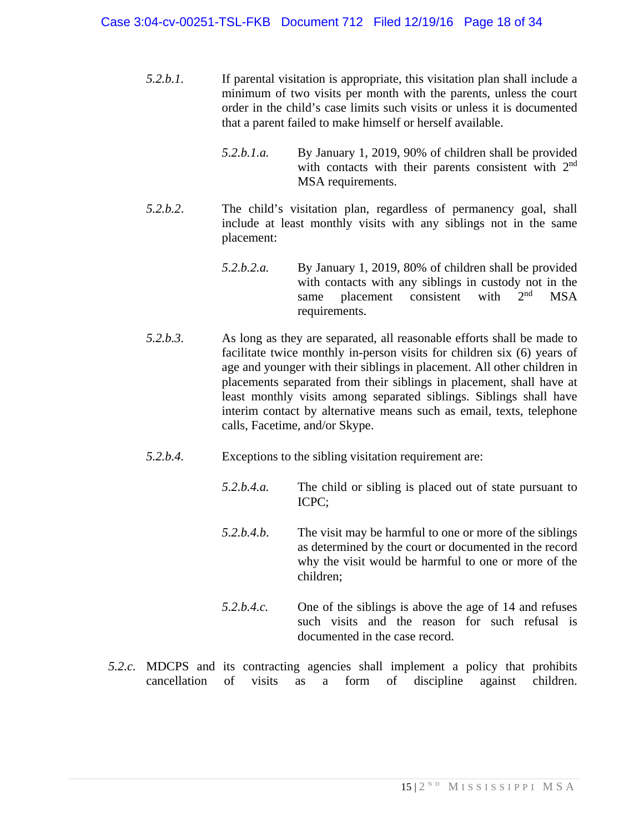#### Case 3:04-cv-00251-TSL-FKB Document 712 Filed 12/19/16 Page 18 of 34

- *5.2.b.1.* If parental visitation is appropriate, this visitation plan shall include a minimum of two visits per month with the parents, unless the court order in the child's case limits such visits or unless it is documented that a parent failed to make himself or herself available.
	- *5.2.b.1.a.* By January 1, 2019, 90% of children shall be provided with contacts with their parents consistent with  $2<sup>nd</sup>$ MSA requirements.
- *5.2.b.2*. The child's visitation plan, regardless of permanency goal, shall include at least monthly visits with any siblings not in the same placement:
	- *5.2.b.2.a.* By January 1, 2019, 80% of children shall be provided with contacts with any siblings in custody not in the same placement consistent with  $2<sup>nd</sup>$  MSA same placement consistent with  $2<sup>nd</sup>$  MSA requirements.
- *5.2.b.3.* As long as they are separated, all reasonable efforts shall be made to facilitate twice monthly in-person visits for children six (6) years of age and younger with their siblings in placement. All other children in placements separated from their siblings in placement, shall have at least monthly visits among separated siblings. Siblings shall have interim contact by alternative means such as email, texts, telephone calls, Facetime, and/or Skype.
- *5.2.b.4.* Exceptions to the sibling visitation requirement are:
	- *5.2.b.4.a.* The child or sibling is placed out of state pursuant to ICPC;
	- *5.2.b.4.b*. The visit may be harmful to one or more of the siblings as determined by the court or documented in the record why the visit would be harmful to one or more of the children;
	- *5.2.b.4.c.* One of the siblings is above the age of 14 and refuses such visits and the reason for such refusal is documented in the case record.
- *5.2.c.* MDCPS and its contracting agencies shall implement a policy that prohibits cancellation of visits as a form of discipline against children.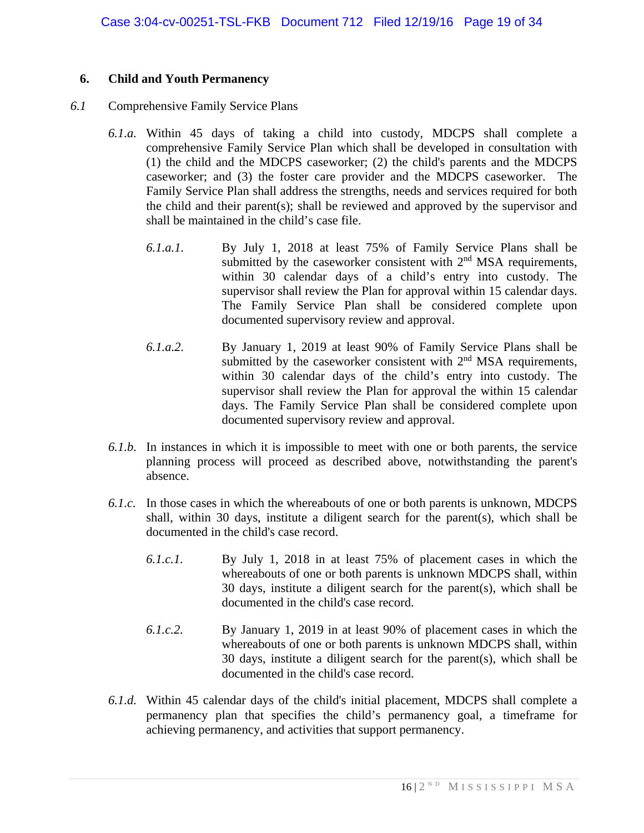#### **6. Child and Youth Permanency**

#### *6.1* Comprehensive Family Service Plans

- *6.1.a.* Within 45 days of taking a child into custody, MDCPS shall complete a comprehensive Family Service Plan which shall be developed in consultation with (1) the child and the MDCPS caseworker; (2) the child's parents and the MDCPS caseworker; and (3) the foster care provider and the MDCPS caseworker. The Family Service Plan shall address the strengths, needs and services required for both the child and their parent(s); shall be reviewed and approved by the supervisor and shall be maintained in the child's case file.
	- *6.1.a.1.* By July 1, 2018 at least 75% of Family Service Plans shall be submitted by the caseworker consistent with  $2<sup>nd</sup> MSA$  requirements, within 30 calendar days of a child's entry into custody. The supervisor shall review the Plan for approval within 15 calendar days. The Family Service Plan shall be considered complete upon documented supervisory review and approval.
	- *6.1.a.2.* By January 1, 2019 at least 90% of Family Service Plans shall be submitted by the caseworker consistent with  $2<sup>nd</sup> MSA$  requirements, within 30 calendar days of the child's entry into custody. The supervisor shall review the Plan for approval the within 15 calendar days. The Family Service Plan shall be considered complete upon documented supervisory review and approval.
- *6.1.b.* In instances in which it is impossible to meet with one or both parents, the service planning process will proceed as described above, notwithstanding the parent's absence.
- *6.1.c.* In those cases in which the whereabouts of one or both parents is unknown, MDCPS shall, within 30 days, institute a diligent search for the parent(s), which shall be documented in the child's case record.
	- *6.1.c.1.* By July 1, 2018 in at least 75% of placement cases in which the whereabouts of one or both parents is unknown MDCPS shall, within 30 days, institute a diligent search for the parent(s), which shall be documented in the child's case record.
	- *6.1.c.2.* By January 1, 2019 in at least 90% of placement cases in which the whereabouts of one or both parents is unknown MDCPS shall, within 30 days, institute a diligent search for the parent(s), which shall be documented in the child's case record.
- *6.1.d.* Within 45 calendar days of the child's initial placement, MDCPS shall complete a permanency plan that specifies the child's permanency goal, a timeframe for achieving permanency, and activities that support permanency.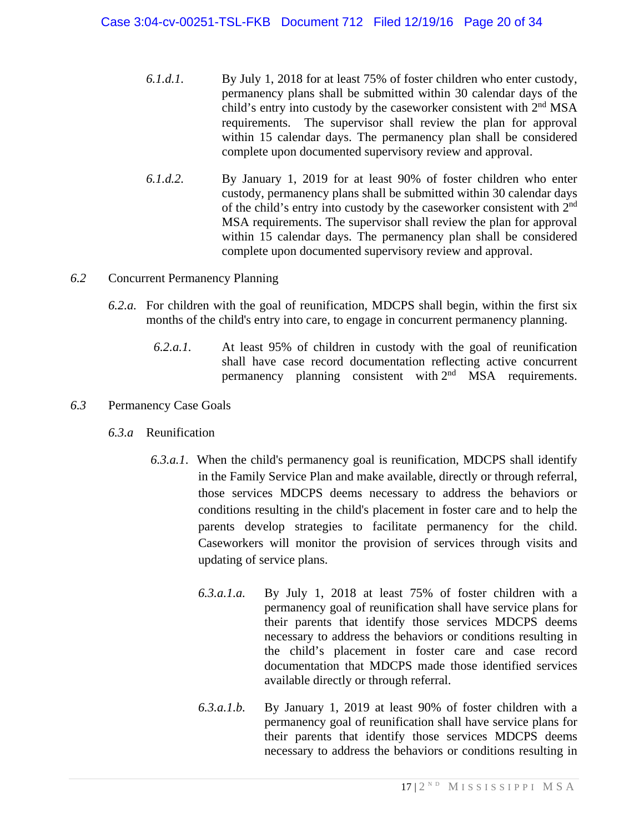- *6.1.d.1.* By July 1, 2018 for at least 75% of foster children who enter custody, permanency plans shall be submitted within 30 calendar days of the child's entry into custody by the caseworker consistent with 2<sup>nd</sup> MSA requirements. The supervisor shall review the plan for approval within 15 calendar days. The permanency plan shall be considered complete upon documented supervisory review and approval.
- *6.1.d.2.* By January 1, 2019 for at least 90% of foster children who enter custody, permanency plans shall be submitted within 30 calendar days of the child's entry into custody by the caseworker consistent with  $2<sup>nd</sup>$ MSA requirements. The supervisor shall review the plan for approval within 15 calendar days. The permanency plan shall be considered complete upon documented supervisory review and approval.

#### *6.2* Concurrent Permanency Planning

- *6.2.a.* For children with the goal of reunification, MDCPS shall begin, within the first six months of the child's entry into care, to engage in concurrent permanency planning.
	- *6.2.a.1.* At least 95% of children in custody with the goal of reunification shall have case record documentation reflecting active concurrent permanency planning consistent with 2<sup>nd</sup> MSA requirements.

#### *6.3* Permanency Case Goals

- *6.3.a* Reunification
	- *6.3.a.1*. When the child's permanency goal is reunification, MDCPS shall identify in the Family Service Plan and make available, directly or through referral, those services MDCPS deems necessary to address the behaviors or conditions resulting in the child's placement in foster care and to help the parents develop strategies to facilitate permanency for the child. Caseworkers will monitor the provision of services through visits and updating of service plans.
		- *6.3.a.1.a.* By July 1, 2018 at least 75% of foster children with a permanency goal of reunification shall have service plans for their parents that identify those services MDCPS deems necessary to address the behaviors or conditions resulting in the child's placement in foster care and case record documentation that MDCPS made those identified services available directly or through referral.
		- *6.3.a.1.b.* By January 1, 2019 at least 90% of foster children with a permanency goal of reunification shall have service plans for their parents that identify those services MDCPS deems necessary to address the behaviors or conditions resulting in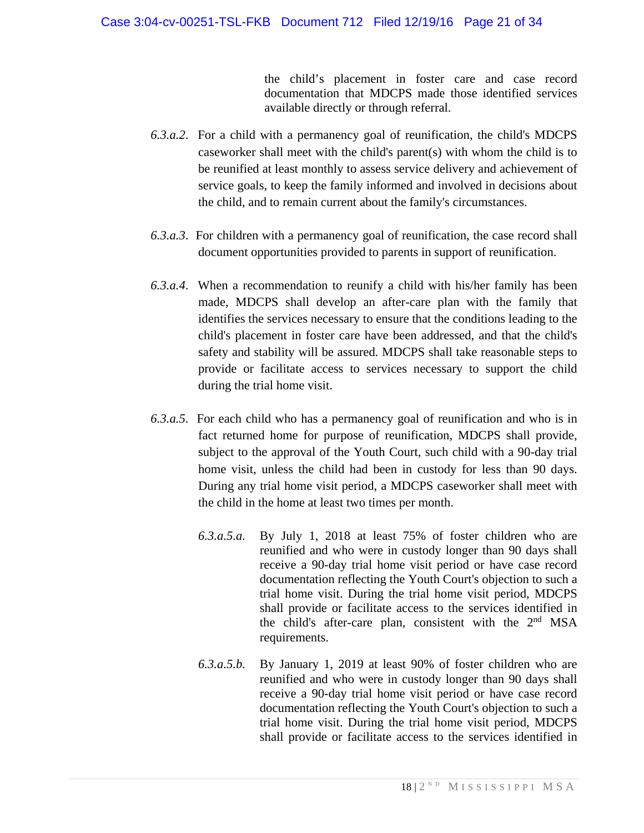the child's placement in foster care and case record documentation that MDCPS made those identified services available directly or through referral.

- *6.3.a.2*. For a child with a permanency goal of reunification, the child's MDCPS caseworker shall meet with the child's parent(s) with whom the child is to be reunified at least monthly to assess service delivery and achievement of service goals, to keep the family informed and involved in decisions about the child, and to remain current about the family's circumstances.
- *6.3.a.3*. For children with a permanency goal of reunification, the case record shall document opportunities provided to parents in support of reunification.
- *6.3.a.4*. When a recommendation to reunify a child with his/her family has been made, MDCPS shall develop an after-care plan with the family that identifies the services necessary to ensure that the conditions leading to the child's placement in foster care have been addressed, and that the child's safety and stability will be assured. MDCPS shall take reasonable steps to provide or facilitate access to services necessary to support the child during the trial home visit.
- *6.3.a.5*. For each child who has a permanency goal of reunification and who is in fact returned home for purpose of reunification, MDCPS shall provide, subject to the approval of the Youth Court, such child with a 90-day trial home visit, unless the child had been in custody for less than 90 days. During any trial home visit period, a MDCPS caseworker shall meet with the child in the home at least two times per month.
	- *6.3.a.5.a.* By July 1, 2018 at least 75% of foster children who are reunified and who were in custody longer than 90 days shall receive a 90-day trial home visit period or have case record documentation reflecting the Youth Court's objection to such a trial home visit. During the trial home visit period, MDCPS shall provide or facilitate access to the services identified in the child's after-care plan, consistent with the  $2<sup>nd</sup> MSA$ requirements.
	- *6.3.a.5.b.* By January 1, 2019 at least 90% of foster children who are reunified and who were in custody longer than 90 days shall receive a 90-day trial home visit period or have case record documentation reflecting the Youth Court's objection to such a trial home visit. During the trial home visit period, MDCPS shall provide or facilitate access to the services identified in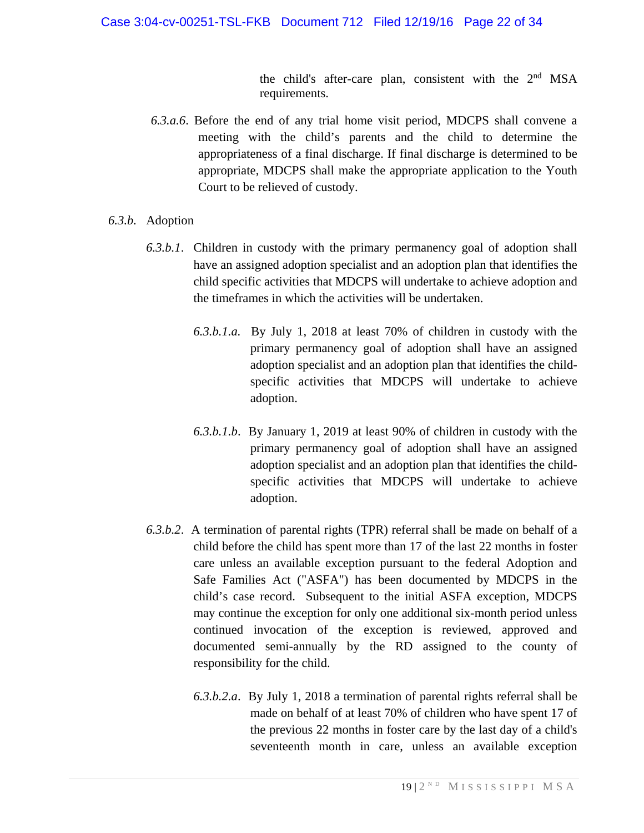the child's after-care plan, consistent with the  $2<sup>nd</sup> MSA$ requirements.

- *6.3.a.6*. Before the end of any trial home visit period, MDCPS shall convene a meeting with the child's parents and the child to determine the appropriateness of a final discharge. If final discharge is determined to be appropriate, MDCPS shall make the appropriate application to the Youth Court to be relieved of custody.
- *6.3.b.* Adoption
	- *6.3.b.1*. Children in custody with the primary permanency goal of adoption shall have an assigned adoption specialist and an adoption plan that identifies the child specific activities that MDCPS will undertake to achieve adoption and the timeframes in which the activities will be undertaken.
		- *6.3.b.1.a.* By July 1, 2018 at least 70% of children in custody with the primary permanency goal of adoption shall have an assigned adoption specialist and an adoption plan that identifies the childspecific activities that MDCPS will undertake to achieve adoption.
		- *6.3.b.1.b*. By January 1, 2019 at least 90% of children in custody with the primary permanency goal of adoption shall have an assigned adoption specialist and an adoption plan that identifies the childspecific activities that MDCPS will undertake to achieve adoption.
	- *6.3.b.2*. A termination of parental rights (TPR) referral shall be made on behalf of a child before the child has spent more than 17 of the last 22 months in foster care unless an available exception pursuant to the federal Adoption and Safe Families Act ("ASFA") has been documented by MDCPS in the child's case record. Subsequent to the initial ASFA exception, MDCPS may continue the exception for only one additional six-month period unless continued invocation of the exception is reviewed, approved and documented semi-annually by the RD assigned to the county of responsibility for the child.
		- *6.3.b.2.a*. By July 1, 2018 a termination of parental rights referral shall be made on behalf of at least 70% of children who have spent 17 of the previous 22 months in foster care by the last day of a child's seventeenth month in care, unless an available exception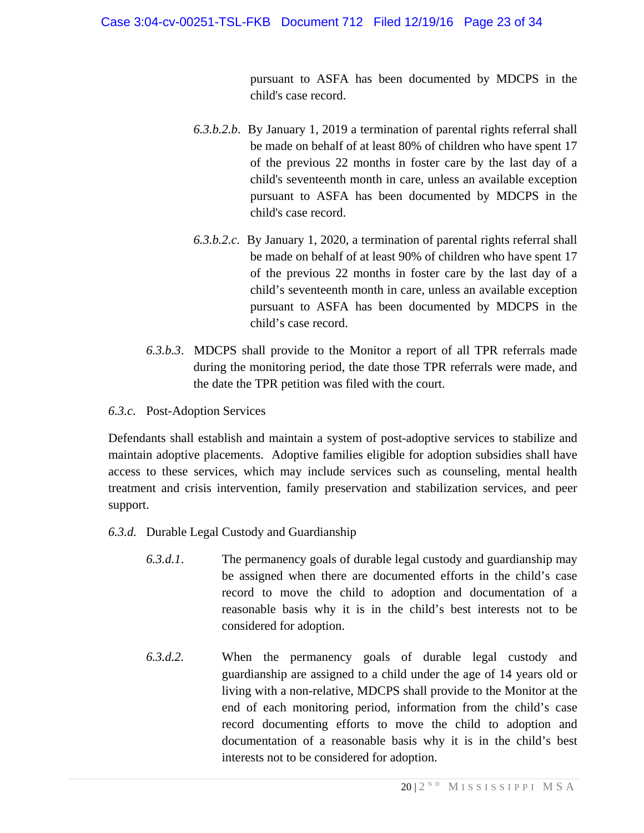pursuant to ASFA has been documented by MDCPS in the child's case record.

- *6.3.b.2.b*. By January 1, 2019 a termination of parental rights referral shall be made on behalf of at least 80% of children who have spent 17 of the previous 22 months in foster care by the last day of a child's seventeenth month in care, unless an available exception pursuant to ASFA has been documented by MDCPS in the child's case record.
- *6.3.b.2.c.* By January 1, 2020, a termination of parental rights referral shall be made on behalf of at least 90% of children who have spent 17 of the previous 22 months in foster care by the last day of a child's seventeenth month in care, unless an available exception pursuant to ASFA has been documented by MDCPS in the child's case record.
- *6.3.b.3*. MDCPS shall provide to the Monitor a report of all TPR referrals made during the monitoring period, the date those TPR referrals were made, and the date the TPR petition was filed with the court.
- *6.3.c.* Post-Adoption Services

Defendants shall establish and maintain a system of post-adoptive services to stabilize and maintain adoptive placements. Adoptive families eligible for adoption subsidies shall have access to these services, which may include services such as counseling, mental health treatment and crisis intervention, family preservation and stabilization services, and peer support.

- *6.3.d.* Durable Legal Custody and Guardianship
	- *6.3.d.1*. The permanency goals of durable legal custody and guardianship may be assigned when there are documented efforts in the child's case record to move the child to adoption and documentation of a reasonable basis why it is in the child's best interests not to be considered for adoption.
	- *6.3.d.2.* When the permanency goals of durable legal custody and guardianship are assigned to a child under the age of 14 years old or living with a non-relative, MDCPS shall provide to the Monitor at the end of each monitoring period, information from the child's case record documenting efforts to move the child to adoption and documentation of a reasonable basis why it is in the child's best interests not to be considered for adoption.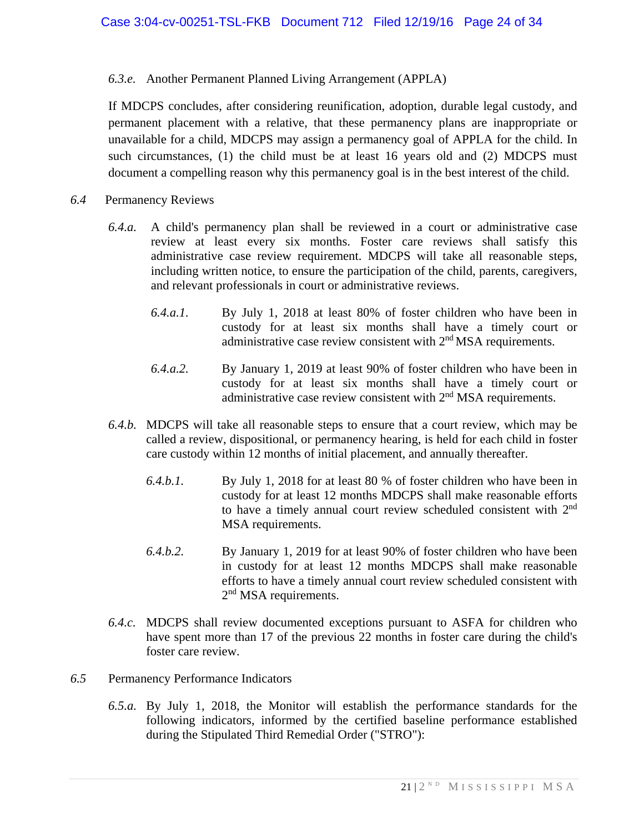## *6.3.e.* Another Permanent Planned Living Arrangement (APPLA)

If MDCPS concludes, after considering reunification, adoption, durable legal custody, and permanent placement with a relative, that these permanency plans are inappropriate or unavailable for a child, MDCPS may assign a permanency goal of APPLA for the child. In such circumstances, (1) the child must be at least 16 years old and (2) MDCPS must document a compelling reason why this permanency goal is in the best interest of the child.

- *6.4* Permanency Reviews
	- *6.4.a.* A child's permanency plan shall be reviewed in a court or administrative case review at least every six months. Foster care reviews shall satisfy this administrative case review requirement. MDCPS will take all reasonable steps, including written notice, to ensure the participation of the child, parents, caregivers, and relevant professionals in court or administrative reviews.
		- *6.4.a.1.* By July 1, 2018 at least 80% of foster children who have been in custody for at least six months shall have a timely court or administrative case review consistent with 2<sup>nd</sup> MSA requirements.
		- *6.4.a.2.* By January 1, 2019 at least 90% of foster children who have been in custody for at least six months shall have a timely court or administrative case review consistent with  $2<sup>nd</sup> MSA$  requirements.
	- *6.4.b.* MDCPS will take all reasonable steps to ensure that a court review, which may be called a review, dispositional, or permanency hearing, is held for each child in foster care custody within 12 months of initial placement, and annually thereafter.
		- *6.4.b.1.* By July 1, 2018 for at least 80 % of foster children who have been in custody for at least 12 months MDCPS shall make reasonable efforts to have a timely annual court review scheduled consistent with 2<sup>nd</sup> MSA requirements.
		- *6.4.b.2.* By January 1, 2019 for at least 90% of foster children who have been in custody for at least 12 months MDCPS shall make reasonable efforts to have a timely annual court review scheduled consistent with 2<sup>nd</sup> MSA requirements.
	- *6.4.c.* MDCPS shall review documented exceptions pursuant to ASFA for children who have spent more than 17 of the previous 22 months in foster care during the child's foster care review.
- *6.5* Permanency Performance Indicators
	- *6.5.a.* By July 1, 2018, the Monitor will establish the performance standards for the following indicators, informed by the certified baseline performance established during the Stipulated Third Remedial Order ("STRO"):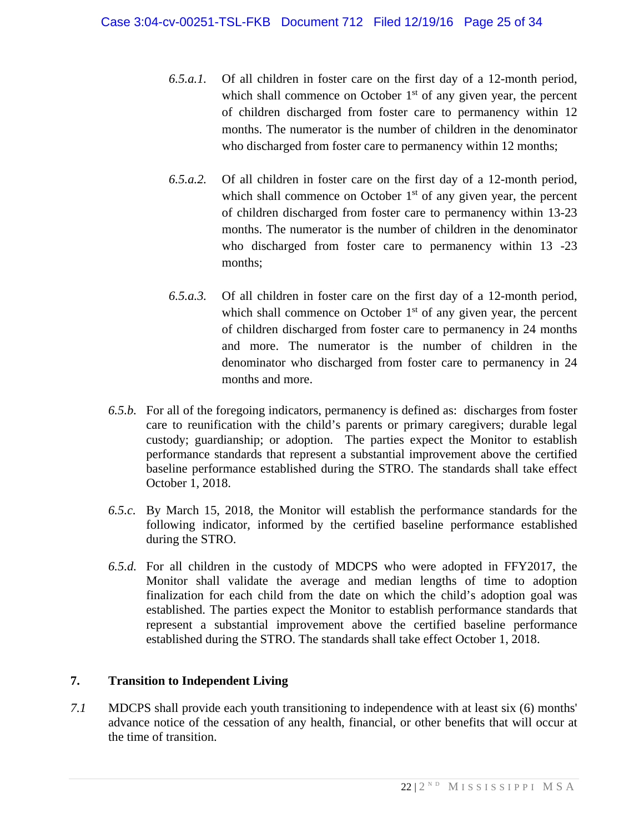- *6.5.a.1.* Of all children in foster care on the first day of a 12-month period, which shall commence on October  $1<sup>st</sup>$  of any given year, the percent of children discharged from foster care to permanency within 12 months. The numerator is the number of children in the denominator who discharged from foster care to permanency within 12 months;
- *6.5.a.2.* Of all children in foster care on the first day of a 12-month period, which shall commence on October  $1<sup>st</sup>$  of any given year, the percent of children discharged from foster care to permanency within 13-23 months. The numerator is the number of children in the denominator who discharged from foster care to permanency within 13 -23 months;
- *6.5.a.3.* Of all children in foster care on the first day of a 12-month period, which shall commence on October  $1<sup>st</sup>$  of any given year, the percent of children discharged from foster care to permanency in 24 months and more. The numerator is the number of children in the denominator who discharged from foster care to permanency in 24 months and more.
- *6.5.b.* For all of the foregoing indicators, permanency is defined as: discharges from foster care to reunification with the child's parents or primary caregivers; durable legal custody; guardianship; or adoption. The parties expect the Monitor to establish performance standards that represent a substantial improvement above the certified baseline performance established during the STRO. The standards shall take effect October 1, 2018.
- *6.5.c.* By March 15, 2018, the Monitor will establish the performance standards for the following indicator, informed by the certified baseline performance established during the STRO.
- *6.5.d.* For all children in the custody of MDCPS who were adopted in FFY2017, the Monitor shall validate the average and median lengths of time to adoption finalization for each child from the date on which the child's adoption goal was established. The parties expect the Monitor to establish performance standards that represent a substantial improvement above the certified baseline performance established during the STRO. The standards shall take effect October 1, 2018.

# **7. Transition to Independent Living**

*7.1* MDCPS shall provide each youth transitioning to independence with at least six (6) months' advance notice of the cessation of any health, financial, or other benefits that will occur at the time of transition.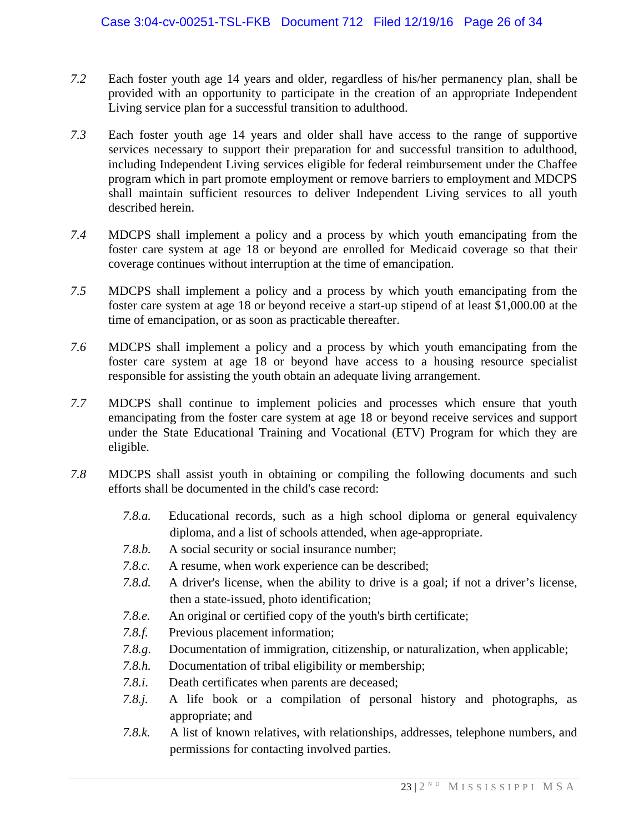- *7.2* Each foster youth age 14 years and older, regardless of his/her permanency plan, shall be provided with an opportunity to participate in the creation of an appropriate Independent Living service plan for a successful transition to adulthood.
- *7.3* Each foster youth age 14 years and older shall have access to the range of supportive services necessary to support their preparation for and successful transition to adulthood, including Independent Living services eligible for federal reimbursement under the Chaffee program which in part promote employment or remove barriers to employment and MDCPS shall maintain sufficient resources to deliver Independent Living services to all youth described herein.
- *7.4* MDCPS shall implement a policy and a process by which youth emancipating from the foster care system at age 18 or beyond are enrolled for Medicaid coverage so that their coverage continues without interruption at the time of emancipation.
- *7.5* MDCPS shall implement a policy and a process by which youth emancipating from the foster care system at age 18 or beyond receive a start-up stipend of at least \$1,000.00 at the time of emancipation, or as soon as practicable thereafter.
- *7.6* MDCPS shall implement a policy and a process by which youth emancipating from the foster care system at age 18 or beyond have access to a housing resource specialist responsible for assisting the youth obtain an adequate living arrangement.
- *7.7* MDCPS shall continue to implement policies and processes which ensure that youth emancipating from the foster care system at age 18 or beyond receive services and support under the State Educational Training and Vocational (ETV) Program for which they are eligible.
- *7.8* MDCPS shall assist youth in obtaining or compiling the following documents and such efforts shall be documented in the child's case record:
	- *7.8.a.* Educational records, such as a high school diploma or general equivalency diploma, and a list of schools attended, when age-appropriate.
	- *7.8.b.* A social security or social insurance number;
	- *7.8.c.* A resume, when work experience can be described;
	- 7.8.d. A driver's license, when the ability to drive is a goal; if not a driver's license, then a state-issued, photo identification;
	- *7.8.e.* An original or certified copy of the youth's birth certificate;
	- *7.8.f.* Previous placement information;
	- *7.8.g*. Documentation of immigration, citizenship, or naturalization, when applicable;
	- *7.8.h.* Documentation of tribal eligibility or membership;
	- *7.8.i*. Death certificates when parents are deceased;
	- *7.8.j.* A life book or a compilation of personal history and photographs, as appropriate; and
	- *7.8.k.* A list of known relatives, with relationships, addresses, telephone numbers, and permissions for contacting involved parties.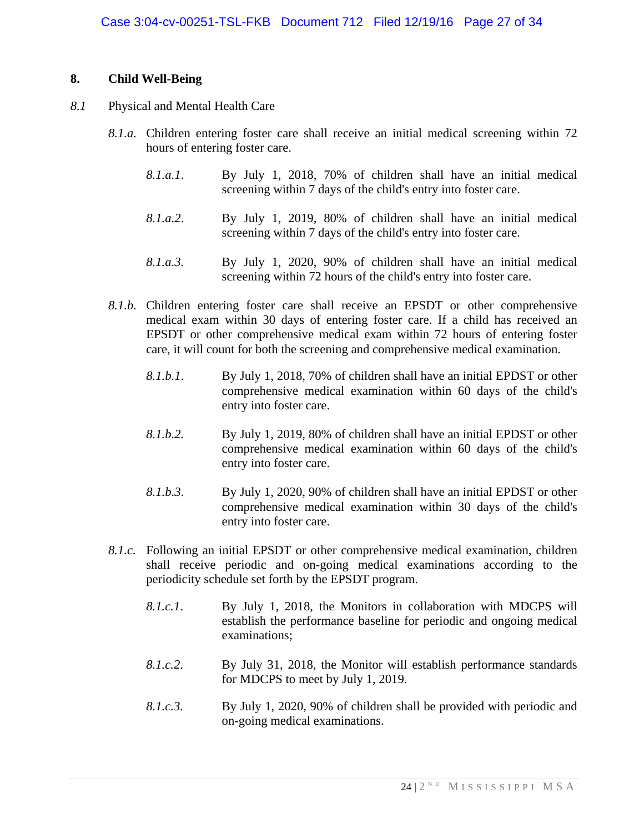## **8. Child Well-Being**

- *8.1* Physical and Mental Health Care
	- *8.1.a.* Children entering foster care shall receive an initial medical screening within 72 hours of entering foster care.
		- *8.1.a.1*. By July 1, 2018, 70% of children shall have an initial medical screening within 7 days of the child's entry into foster care.
		- *8.1.a.2*. By July 1, 2019, 80% of children shall have an initial medical screening within 7 days of the child's entry into foster care.
		- *8.1.a.3.* By July 1, 2020, 90% of children shall have an initial medical screening within 72 hours of the child's entry into foster care.
	- *8.1.b.* Children entering foster care shall receive an EPSDT or other comprehensive medical exam within 30 days of entering foster care. If a child has received an EPSDT or other comprehensive medical exam within 72 hours of entering foster care, it will count for both the screening and comprehensive medical examination.
		- *8.1.b.1*. By July 1, 2018, 70% of children shall have an initial EPDST or other comprehensive medical examination within 60 days of the child's entry into foster care.
		- *8.1.b.2.* By July 1, 2019, 80% of children shall have an initial EPDST or other comprehensive medical examination within 60 days of the child's entry into foster care.
		- *8.1.b.3*. By July 1, 2020, 90% of children shall have an initial EPDST or other comprehensive medical examination within 30 days of the child's entry into foster care.
	- *8.1.c.* Following an initial EPSDT or other comprehensive medical examination, children shall receive periodic and on-going medical examinations according to the periodicity schedule set forth by the EPSDT program.
		- *8.1.c.1*. By July 1, 2018, the Monitors in collaboration with MDCPS will establish the performance baseline for periodic and ongoing medical examinations;
		- *8.1.c.2.* By July 31, 2018, the Monitor will establish performance standards for MDCPS to meet by July 1, 2019.
		- *8.1.c.3.* By July 1, 2020, 90% of children shall be provided with periodic and on-going medical examinations.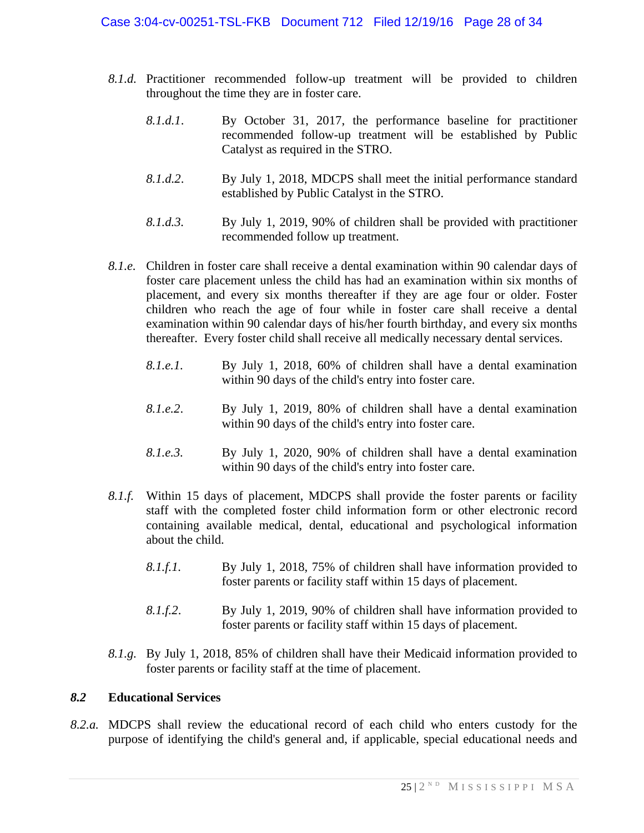- *8.1.d.* Practitioner recommended follow-up treatment will be provided to children throughout the time they are in foster care.
	- *8.1.d.1*. By October 31, 2017, the performance baseline for practitioner recommended follow-up treatment will be established by Public Catalyst as required in the STRO.
	- *8.1.d.2*. By July 1, 2018, MDCPS shall meet the initial performance standard established by Public Catalyst in the STRO.
	- *8.1.d.3.* By July 1, 2019, 90% of children shall be provided with practitioner recommended follow up treatment.
- *8.1.e.* Children in foster care shall receive a dental examination within 90 calendar days of foster care placement unless the child has had an examination within six months of placement, and every six months thereafter if they are age four or older. Foster children who reach the age of four while in foster care shall receive a dental examination within 90 calendar days of his/her fourth birthday, and every six months thereafter. Every foster child shall receive all medically necessary dental services.
	- *8.1.e.1.* By July 1, 2018, 60% of children shall have a dental examination within 90 days of the child's entry into foster care.
	- *8.1.e.2*. By July 1, 2019, 80% of children shall have a dental examination within 90 days of the child's entry into foster care.
	- *8.1.e.3.* By July 1, 2020, 90% of children shall have a dental examination within 90 days of the child's entry into foster care.
- *8.1.f.* Within 15 days of placement, MDCPS shall provide the foster parents or facility staff with the completed foster child information form or other electronic record containing available medical, dental, educational and psychological information about the child.
	- *8.1.f.1.* By July 1, 2018, 75% of children shall have information provided to foster parents or facility staff within 15 days of placement.
	- *8.1.f.2*. By July 1, 2019, 90% of children shall have information provided to foster parents or facility staff within 15 days of placement.
- *8.1.g.* By July 1, 2018, 85% of children shall have their Medicaid information provided to foster parents or facility staff at the time of placement.

#### *8.2* **Educational Services**

*8.2.a.* MDCPS shall review the educational record of each child who enters custody for the purpose of identifying the child's general and, if applicable, special educational needs and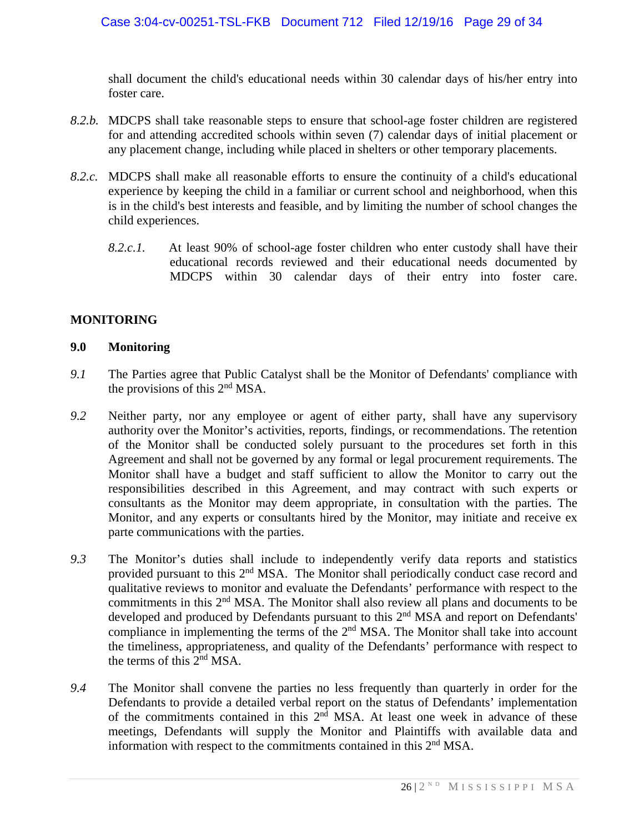shall document the child's educational needs within 30 calendar days of his/her entry into foster care.

- *8.2.b.* MDCPS shall take reasonable steps to ensure that school-age foster children are registered for and attending accredited schools within seven (7) calendar days of initial placement or any placement change, including while placed in shelters or other temporary placements.
- *8.2.c.* MDCPS shall make all reasonable efforts to ensure the continuity of a child's educational experience by keeping the child in a familiar or current school and neighborhood, when this is in the child's best interests and feasible, and by limiting the number of school changes the child experiences.
	- *8.2.c.1.* At least 90% of school-age foster children who enter custody shall have their educational records reviewed and their educational needs documented by MDCPS within 30 calendar days of their entry into foster care.

## **MONITORING**

#### **9.0 Monitoring**

- *9.1* The Parties agree that Public Catalyst shall be the Monitor of Defendants' compliance with the provisions of this 2nd MSA.
- *9.2* Neither party, nor any employee or agent of either party, shall have any supervisory authority over the Monitor's activities, reports, findings, or recommendations. The retention of the Monitor shall be conducted solely pursuant to the procedures set forth in this Agreement and shall not be governed by any formal or legal procurement requirements. The Monitor shall have a budget and staff sufficient to allow the Monitor to carry out the responsibilities described in this Agreement, and may contract with such experts or consultants as the Monitor may deem appropriate, in consultation with the parties. The Monitor, and any experts or consultants hired by the Monitor, may initiate and receive ex parte communications with the parties.
- *9.3* The Monitor's duties shall include to independently verify data reports and statistics provided pursuant to this 2<sup>nd</sup> MSA. The Monitor shall periodically conduct case record and qualitative reviews to monitor and evaluate the Defendants' performance with respect to the commitments in this 2nd MSA. The Monitor shall also review all plans and documents to be developed and produced by Defendants pursuant to this 2<sup>nd</sup> MSA and report on Defendants' compliance in implementing the terms of the  $2<sup>nd</sup> MSA$ . The Monitor shall take into account the timeliness, appropriateness, and quality of the Defendants' performance with respect to the terms of this 2nd MSA.
- *9.4* The Monitor shall convene the parties no less frequently than quarterly in order for the Defendants to provide a detailed verbal report on the status of Defendants' implementation of the commitments contained in this  $2<sup>n</sup>$  MSA. At least one week in advance of these meetings, Defendants will supply the Monitor and Plaintiffs with available data and information with respect to the commitments contained in this 2<sup>nd</sup> MSA.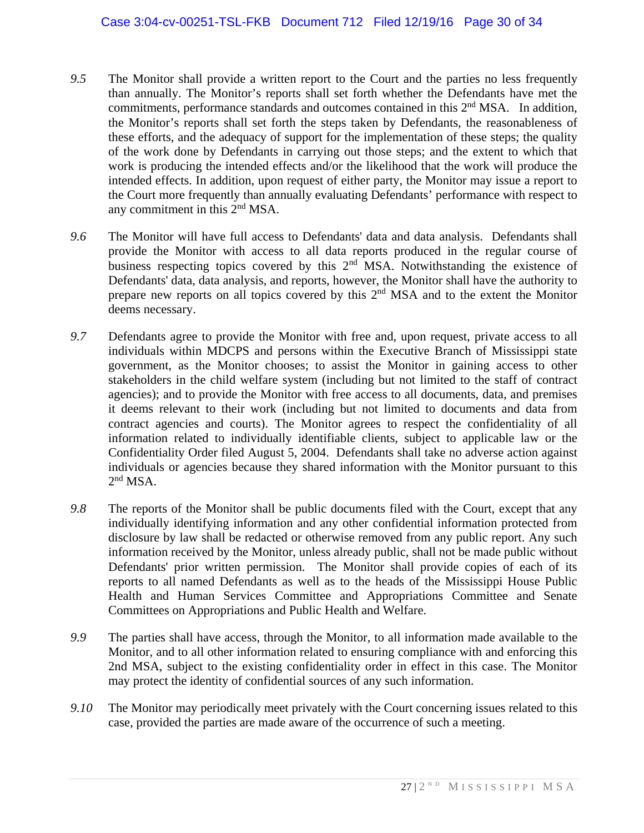- *9.5* The Monitor shall provide a written report to the Court and the parties no less frequently than annually. The Monitor's reports shall set forth whether the Defendants have met the commitments, performance standards and outcomes contained in this  $2<sup>nd</sup> MSA$ . In addition, the Monitor's reports shall set forth the steps taken by Defendants, the reasonableness of these efforts, and the adequacy of support for the implementation of these steps; the quality of the work done by Defendants in carrying out those steps; and the extent to which that work is producing the intended effects and/or the likelihood that the work will produce the intended effects. In addition, upon request of either party, the Monitor may issue a report to the Court more frequently than annually evaluating Defendants' performance with respect to any commitment in this 2nd MSA.
- *9.6* The Monitor will have full access to Defendants' data and data analysis. Defendants shall provide the Monitor with access to all data reports produced in the regular course of business respecting topics covered by this 2<sup>nd</sup> MSA. Notwithstanding the existence of Defendants' data, data analysis, and reports, however, the Monitor shall have the authority to prepare new reports on all topics covered by this 2nd MSA and to the extent the Monitor deems necessary.
- *9.7* Defendants agree to provide the Monitor with free and, upon request, private access to all individuals within MDCPS and persons within the Executive Branch of Mississippi state government, as the Monitor chooses; to assist the Monitor in gaining access to other stakeholders in the child welfare system (including but not limited to the staff of contract agencies); and to provide the Monitor with free access to all documents, data, and premises it deems relevant to their work (including but not limited to documents and data from contract agencies and courts). The Monitor agrees to respect the confidentiality of all information related to individually identifiable clients, subject to applicable law or the Confidentiality Order filed August 5, 2004. Defendants shall take no adverse action against individuals or agencies because they shared information with the Monitor pursuant to this  $2<sup>nd</sup> MSA.$
- *9.8* The reports of the Monitor shall be public documents filed with the Court, except that any individually identifying information and any other confidential information protected from disclosure by law shall be redacted or otherwise removed from any public report. Any such information received by the Monitor, unless already public, shall not be made public without Defendants' prior written permission. The Monitor shall provide copies of each of its reports to all named Defendants as well as to the heads of the Mississippi House Public Health and Human Services Committee and Appropriations Committee and Senate Committees on Appropriations and Public Health and Welfare.
- *9.9* The parties shall have access, through the Monitor, to all information made available to the Monitor, and to all other information related to ensuring compliance with and enforcing this 2nd MSA, subject to the existing confidentiality order in effect in this case. The Monitor may protect the identity of confidential sources of any such information.
- *9.10* The Monitor may periodically meet privately with the Court concerning issues related to this case, provided the parties are made aware of the occurrence of such a meeting.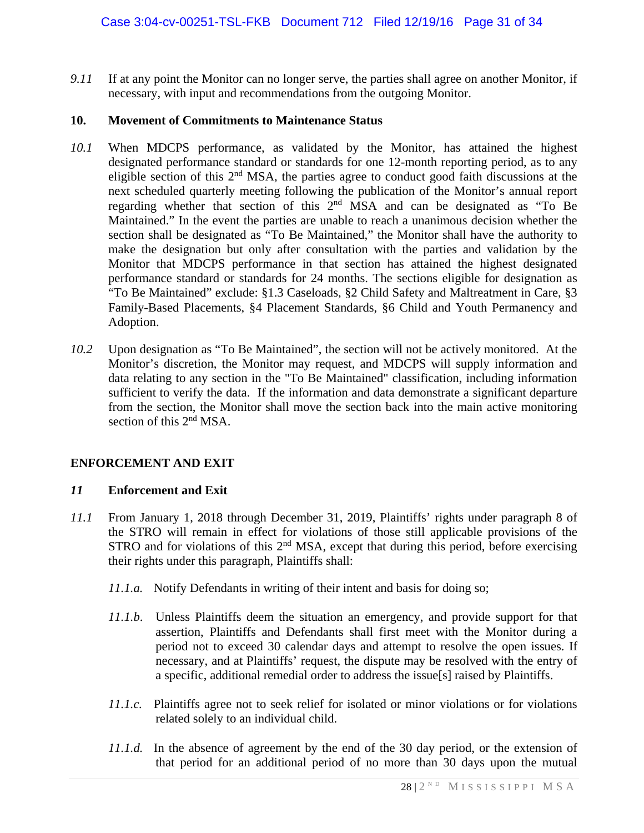*9.11* If at any point the Monitor can no longer serve, the parties shall agree on another Monitor, if necessary, with input and recommendations from the outgoing Monitor.

#### **10. Movement of Commitments to Maintenance Status**

- *10.1* When MDCPS performance, as validated by the Monitor, has attained the highest designated performance standard or standards for one 12-month reporting period, as to any eligible section of this 2nd MSA, the parties agree to conduct good faith discussions at the next scheduled quarterly meeting following the publication of the Monitor's annual report regarding whether that section of this 2nd MSA and can be designated as "To Be Maintained." In the event the parties are unable to reach a unanimous decision whether the section shall be designated as "To Be Maintained," the Monitor shall have the authority to make the designation but only after consultation with the parties and validation by the Monitor that MDCPS performance in that section has attained the highest designated performance standard or standards for 24 months. The sections eligible for designation as "To Be Maintained" exclude: §1.3 Caseloads, §2 Child Safety and Maltreatment in Care, §3 Family-Based Placements, §4 Placement Standards, §6 Child and Youth Permanency and Adoption.
- *10.2* Upon designation as "To Be Maintained", the section will not be actively monitored. At the Monitor's discretion, the Monitor may request, and MDCPS will supply information and data relating to any section in the "To Be Maintained" classification, including information sufficient to verify the data. If the information and data demonstrate a significant departure from the section, the Monitor shall move the section back into the main active monitoring section of this 2<sup>nd</sup> MSA.

# **ENFORCEMENT AND EXIT**

#### *11* **Enforcement and Exit**

- *11.1* From January 1, 2018 through December 31, 2019, Plaintiffs' rights under paragraph 8 of the STRO will remain in effect for violations of those still applicable provisions of the STRO and for violations of this 2<sup>nd</sup> MSA, except that during this period, before exercising their rights under this paragraph, Plaintiffs shall:
	- *11.1.a.* Notify Defendants in writing of their intent and basis for doing so;
	- *11.1.b*. Unless Plaintiffs deem the situation an emergency, and provide support for that assertion, Plaintiffs and Defendants shall first meet with the Monitor during a period not to exceed 30 calendar days and attempt to resolve the open issues. If necessary, and at Plaintiffs' request, the dispute may be resolved with the entry of a specific, additional remedial order to address the issue[s] raised by Plaintiffs.
	- *11.1.c.* Plaintiffs agree not to seek relief for isolated or minor violations or for violations related solely to an individual child.
	- *11.1.d.* In the absence of agreement by the end of the 30 day period, or the extension of that period for an additional period of no more than 30 days upon the mutual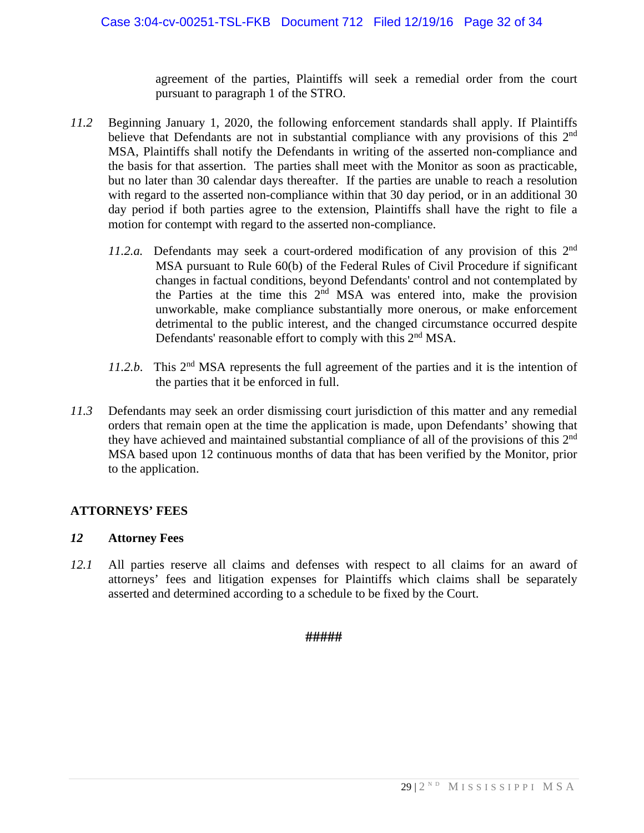agreement of the parties, Plaintiffs will seek a remedial order from the court pursuant to paragraph 1 of the STRO.

- *11.2* Beginning January 1, 2020, the following enforcement standards shall apply. If Plaintiffs believe that Defendants are not in substantial compliance with any provisions of this 2<sup>nd</sup> MSA, Plaintiffs shall notify the Defendants in writing of the asserted non-compliance and the basis for that assertion. The parties shall meet with the Monitor as soon as practicable, but no later than 30 calendar days thereafter. If the parties are unable to reach a resolution with regard to the asserted non-compliance within that 30 day period, or in an additional 30 day period if both parties agree to the extension, Plaintiffs shall have the right to file a motion for contempt with regard to the asserted non-compliance.
	- *11.2.a.* Defendants may seek a court-ordered modification of any provision of this 2nd MSA pursuant to Rule 60(b) of the Federal Rules of Civil Procedure if significant changes in factual conditions, beyond Defendants' control and not contemplated by the Parties at the time this 2nd MSA was entered into, make the provision unworkable, make compliance substantially more onerous, or make enforcement detrimental to the public interest, and the changed circumstance occurred despite Defendants' reasonable effort to comply with this 2<sup>nd</sup> MSA.
	- *11.2.b*. This 2nd MSA represents the full agreement of the parties and it is the intention of the parties that it be enforced in full.
- *11.3* Defendants may seek an order dismissing court jurisdiction of this matter and any remedial orders that remain open at the time the application is made, upon Defendants' showing that they have achieved and maintained substantial compliance of all of the provisions of this 2<sup>nd</sup> MSA based upon 12 continuous months of data that has been verified by the Monitor, prior to the application.

#### **ATTORNEYS' FEES**

#### *12* **Attorney Fees**

*12.1* All parties reserve all claims and defenses with respect to all claims for an award of attorneys' fees and litigation expenses for Plaintiffs which claims shall be separately asserted and determined according to a schedule to be fixed by the Court.

#### **#####**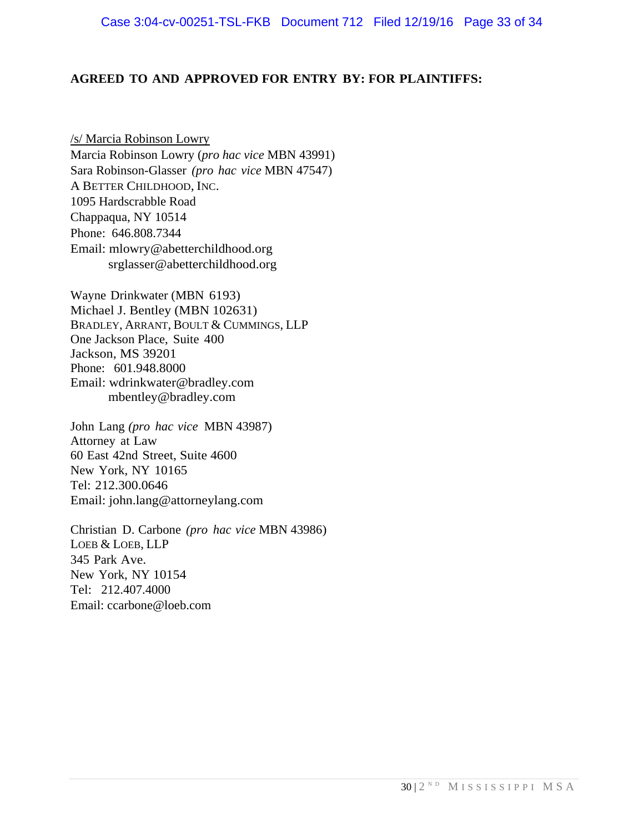#### **AGREED TO AND APPROVED FOR ENTRY BY: FOR PLAINTIFFS:**

/s/ Marcia Robinson Lowry Marcia Robinson Lowry (*pro hac vice* MBN 43991) Sara Robinson-Glasser *(pro hac vice* MBN 47547) A BETTER CHILDHOOD, INC. 1095 Hardscrabble Road Chappaqua, NY 10514 Phone: 646.808.7344 Email: mlowry@abetterchildhood.org srglasser@abetterchildhood.org

Wayne Drinkwater (MBN 6193) Michael J. Bentley (MBN 102631) BRADLEY, ARRANT, BOULT & CUMMINGS, LLP One Jackson Place, Suite 400 Jackson, MS 39201 Phone: 601.948.8000 Email: wdrinkwater@bradley.com mbentley@bradley.com

John Lang *(pro hac vice* MBN 43987) Attorney at Law 60 East 42nd Street, Suite 4600 New York, NY 10165 Tel: 212.300.0646 Email: john.lang@attorneylang.com

Christian D. Carbone *(pro hac vice* MBN 43986) LOEB & LOEB, LLP 345 Park Ave. New York, NY 10154 Tel: 212.407.4000 Email: ccarbone@loeb.com